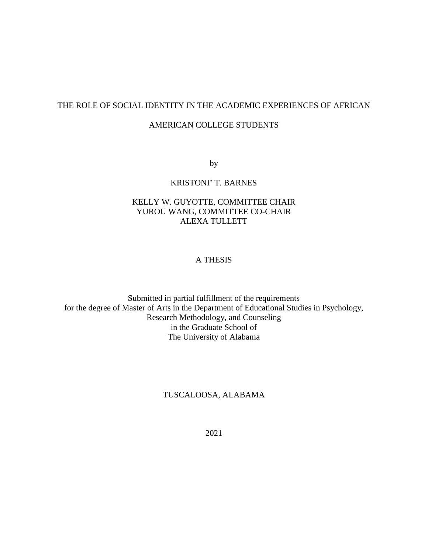## THE ROLE OF SOCIAL IDENTITY IN THE ACADEMIC EXPERIENCES OF AFRICAN

## AMERICAN COLLEGE STUDENTS

by

## KRISTONI' T. BARNES

## KELLY W. GUYOTTE, COMMITTEE CHAIR YUROU WANG, COMMITTEE CO-CHAIR ALEXA TULLETT

## A THESIS

Submitted in partial fulfillment of the requirements for the degree of Master of Arts in the Department of Educational Studies in Psychology, Research Methodology, and Counseling in the Graduate School of The University of Alabama

## TUSCALOOSA, ALABAMA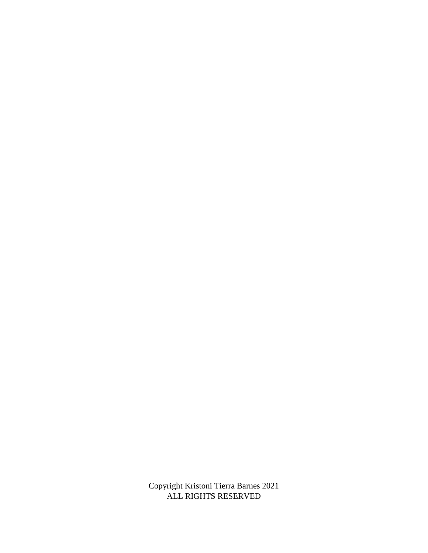Copyright Kristoni Tierra Barnes 2021 ALL RIGHTS RESERVED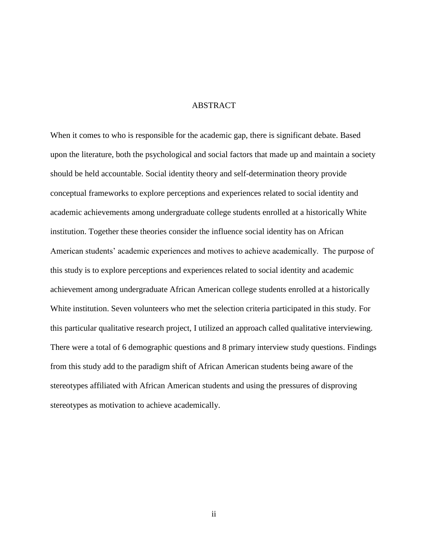### ABSTRACT

When it comes to who is responsible for the academic gap, there is significant debate. Based upon the literature, both the psychological and social factors that made up and maintain a society should be held accountable. Social identity theory and self-determination theory provide conceptual frameworks to explore perceptions and experiences related to social identity and academic achievements among undergraduate college students enrolled at a historically White institution. Together these theories consider the influence social identity has on African American students' academic experiences and motives to achieve academically. The purpose of this study is to explore perceptions and experiences related to social identity and academic achievement among undergraduate African American college students enrolled at a historically White institution. Seven volunteers who met the selection criteria participated in this study. For this particular qualitative research project, I utilized an approach called qualitative interviewing. There were a total of 6 demographic questions and 8 primary interview study questions. Findings from this study add to the paradigm shift of African American students being aware of the stereotypes affiliated with African American students and using the pressures of disproving stereotypes as motivation to achieve academically.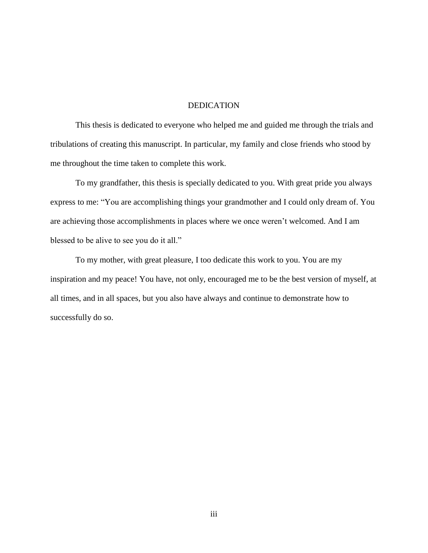### DEDICATION

This thesis is dedicated to everyone who helped me and guided me through the trials and tribulations of creating this manuscript. In particular, my family and close friends who stood by me throughout the time taken to complete this work.

To my grandfather, this thesis is specially dedicated to you. With great pride you always express to me: "You are accomplishing things your grandmother and I could only dream of. You are achieving those accomplishments in places where we once weren't welcomed. And I am blessed to be alive to see you do it all."

To my mother, with great pleasure, I too dedicate this work to you. You are my inspiration and my peace! You have, not only, encouraged me to be the best version of myself, at all times, and in all spaces, but you also have always and continue to demonstrate how to successfully do so.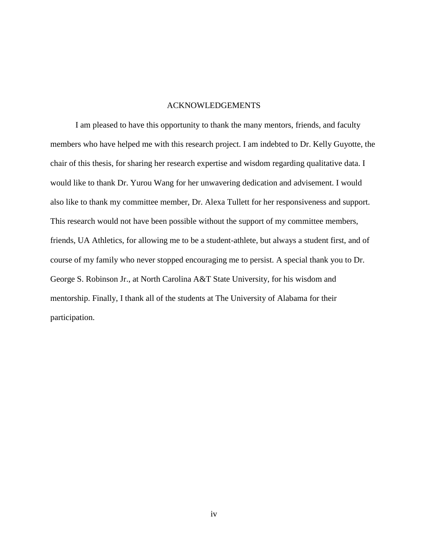### ACKNOWLEDGEMENTS

I am pleased to have this opportunity to thank the many mentors, friends, and faculty members who have helped me with this research project. I am indebted to Dr. Kelly Guyotte, the chair of this thesis, for sharing her research expertise and wisdom regarding qualitative data. I would like to thank Dr. Yurou Wang for her unwavering dedication and advisement. I would also like to thank my committee member, Dr. Alexa Tullett for her responsiveness and support. This research would not have been possible without the support of my committee members, friends, UA Athletics, for allowing me to be a student-athlete, but always a student first, and of course of my family who never stopped encouraging me to persist. A special thank you to Dr. George S. Robinson Jr., at North Carolina A&T State University, for his wisdom and mentorship. Finally, I thank all of the students at The University of Alabama for their participation.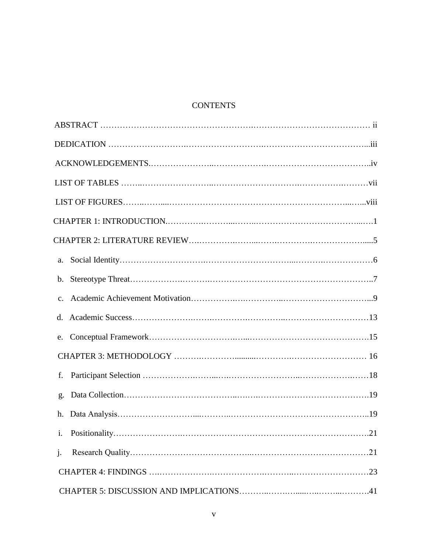# **CONTENTS**

| f.             |
|----------------|
| g.             |
| h.             |
|                |
| $\mathbf{i}$ . |
|                |
|                |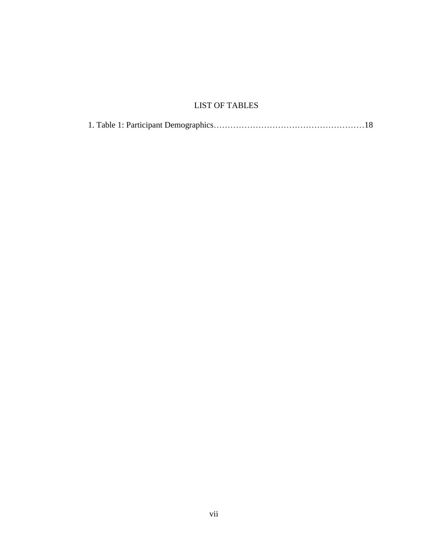# LIST OF TABLES

|--|--|--|--|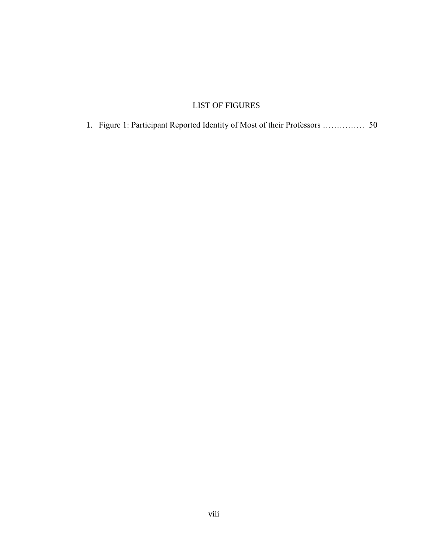# LIST OF FIGURES

|  |  |  |  |  |  |  |  | 1. Figure 1: Participant Reported Identity of Most of their Professors  50 |  |  |
|--|--|--|--|--|--|--|--|----------------------------------------------------------------------------|--|--|
|--|--|--|--|--|--|--|--|----------------------------------------------------------------------------|--|--|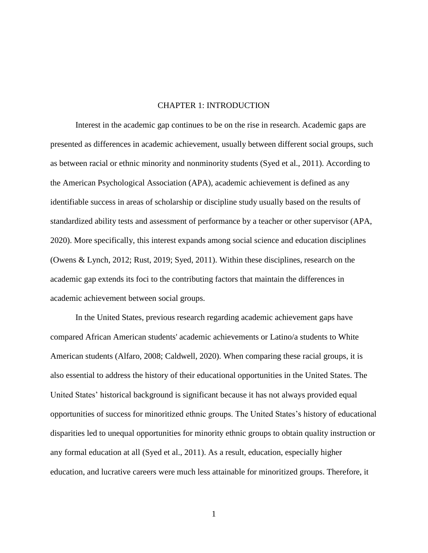### CHAPTER 1: INTRODUCTION

Interest in the academic gap continues to be on the rise in research. Academic gaps are presented as differences in academic achievement, usually between different social groups, such as between racial or ethnic minority and nonminority students (Syed et al., 2011). According to the American Psychological Association (APA), academic achievement is defined as any identifiable success in areas of scholarship or discipline study usually based on the results of standardized ability tests and assessment of performance by a teacher or other supervisor (APA, 2020). More specifically, this interest expands among social science and education disciplines (Owens & Lynch, 2012; Rust, 2019; Syed, 2011). Within these disciplines, research on the academic gap extends its foci to the contributing factors that maintain the differences in academic achievement between social groups.

In the United States, previous research regarding academic achievement gaps have compared African American students' academic achievements or Latino/a students to White American students (Alfaro, 2008; Caldwell, 2020). When comparing these racial groups, it is also essential to address the history of their educational opportunities in the United States. The United States' historical background is significant because it has not always provided equal opportunities of success for minoritized ethnic groups. The United States's history of educational disparities led to unequal opportunities for minority ethnic groups to obtain quality instruction or any formal education at all (Syed et al., 2011). As a result, education, especially higher education, and lucrative careers were much less attainable for minoritized groups. Therefore, it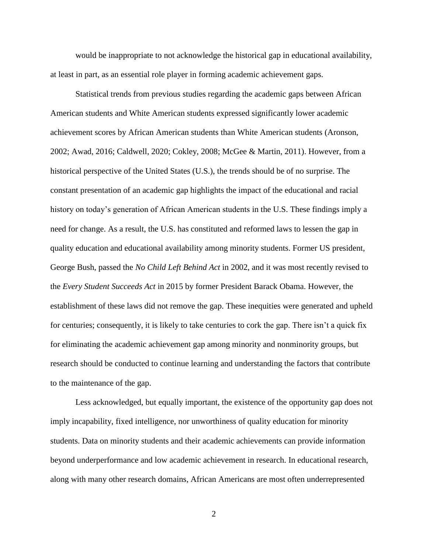would be inappropriate to not acknowledge the historical gap in educational availability, at least in part, as an essential role player in forming academic achievement gaps.

Statistical trends from previous studies regarding the academic gaps between African American students and White American students expressed significantly lower academic achievement scores by African American students than White American students (Aronson, 2002; Awad, 2016; Caldwell, 2020; Cokley, 2008; McGee & Martin, 2011). However, from a historical perspective of the United States (U.S.), the trends should be of no surprise. The constant presentation of an academic gap highlights the impact of the educational and racial history on today's generation of African American students in the U.S. These findings imply a need for change. As a result, the U.S. has constituted and reformed laws to lessen the gap in quality education and educational availability among minority students. Former US president, George Bush, passed the *No Child Left Behind Act* in 2002, and it was most recently revised to the *Every Student Succeeds Act* in 2015 by former President Barack Obama. However, the establishment of these laws did not remove the gap. These inequities were generated and upheld for centuries; consequently, it is likely to take centuries to cork the gap. There isn't a quick fix for eliminating the academic achievement gap among minority and nonminority groups, but research should be conducted to continue learning and understanding the factors that contribute to the maintenance of the gap.

Less acknowledged, but equally important, the existence of the opportunity gap does not imply incapability, fixed intelligence, nor unworthiness of quality education for minority students. Data on minority students and their academic achievements can provide information beyond underperformance and low academic achievement in research. In educational research, along with many other research domains, African Americans are most often underrepresented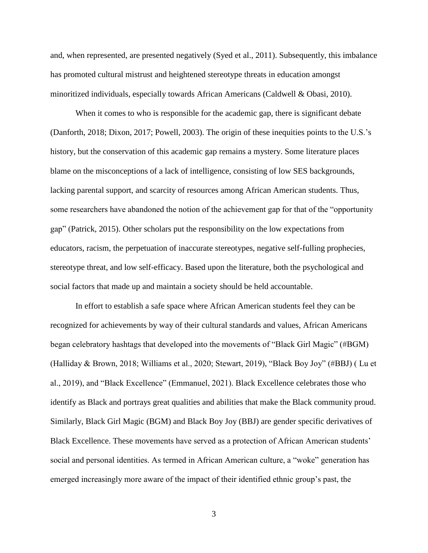and, when represented, are presented negatively (Syed et al., 2011). Subsequently, this imbalance has promoted cultural mistrust and heightened stereotype threats in education amongst minoritized individuals, especially towards African Americans (Caldwell & Obasi, 2010).

When it comes to who is responsible for the academic gap, there is significant debate (Danforth, 2018; Dixon, 2017; Powell, 2003). The origin of these inequities points to the U.S.'s history, but the conservation of this academic gap remains a mystery. Some literature places blame on the misconceptions of a lack of intelligence, consisting of low SES backgrounds, lacking parental support, and scarcity of resources among African American students. Thus, some researchers have abandoned the notion of the achievement gap for that of the "opportunity gap" (Patrick, 2015). Other scholars put the responsibility on the low expectations from educators, racism, the perpetuation of inaccurate stereotypes, negative self-fulling prophecies, stereotype threat, and low self-efficacy. Based upon the literature, both the psychological and social factors that made up and maintain a society should be held accountable.

In effort to establish a safe space where African American students feel they can be recognized for achievements by way of their cultural standards and values, African Americans began celebratory hashtags that developed into the movements of "Black Girl Magic" (#BGM) (Halliday & Brown, 2018; Williams et al., 2020; Stewart, 2019), "Black Boy Joy" (#BBJ) ( Lu et al., 2019), and "Black Excellence" (Emmanuel, 2021). Black Excellence celebrates those who identify as Black and portrays great qualities and abilities that make the Black community proud. Similarly, Black Girl Magic (BGM) and Black Boy Joy (BBJ) are gender specific derivatives of Black Excellence. These movements have served as a protection of African American students' social and personal identities. As termed in African American culture, a "woke" generation has emerged increasingly more aware of the impact of their identified ethnic group's past, the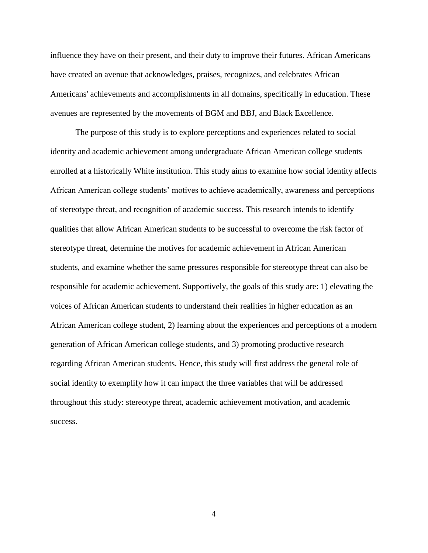influence they have on their present, and their duty to improve their futures. African Americans have created an avenue that acknowledges, praises, recognizes, and celebrates African Americans' achievements and accomplishments in all domains, specifically in education. These avenues are represented by the movements of BGM and BBJ, and Black Excellence.

The purpose of this study is to explore perceptions and experiences related to social identity and academic achievement among undergraduate African American college students enrolled at a historically White institution. This study aims to examine how social identity affects African American college students' motives to achieve academically, awareness and perceptions of stereotype threat, and recognition of academic success. This research intends to identify qualities that allow African American students to be successful to overcome the risk factor of stereotype threat, determine the motives for academic achievement in African American students, and examine whether the same pressures responsible for stereotype threat can also be responsible for academic achievement. Supportively, the goals of this study are: 1) elevating the voices of African American students to understand their realities in higher education as an African American college student, 2) learning about the experiences and perceptions of a modern generation of African American college students, and 3) promoting productive research regarding African American students. Hence, this study will first address the general role of social identity to exemplify how it can impact the three variables that will be addressed throughout this study: stereotype threat, academic achievement motivation, and academic success.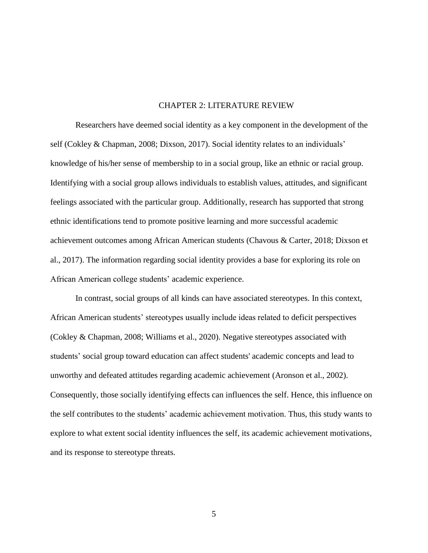### CHAPTER 2: LITERATURE REVIEW

Researchers have deemed social identity as a key component in the development of the self (Cokley & Chapman, 2008; Dixson, 2017). Social identity relates to an individuals' knowledge of his/her sense of membership to in a social group, like an ethnic or racial group. Identifying with a social group allows individuals to establish values, attitudes, and significant feelings associated with the particular group. Additionally, research has supported that strong ethnic identifications tend to promote positive learning and more successful academic achievement outcomes among African American students (Chavous & Carter, 2018; Dixson et al., 2017). The information regarding social identity provides a base for exploring its role on African American college students' academic experience.

In contrast, social groups of all kinds can have associated stereotypes. In this context, African American students' stereotypes usually include ideas related to deficit perspectives (Cokley & Chapman, 2008; Williams et al., 2020). Negative stereotypes associated with students' social group toward education can affect students' academic concepts and lead to unworthy and defeated attitudes regarding academic achievement (Aronson et al., 2002). Consequently, those socially identifying effects can influences the self. Hence, this influence on the self contributes to the students' academic achievement motivation. Thus, this study wants to explore to what extent social identity influences the self, its academic achievement motivations, and its response to stereotype threats.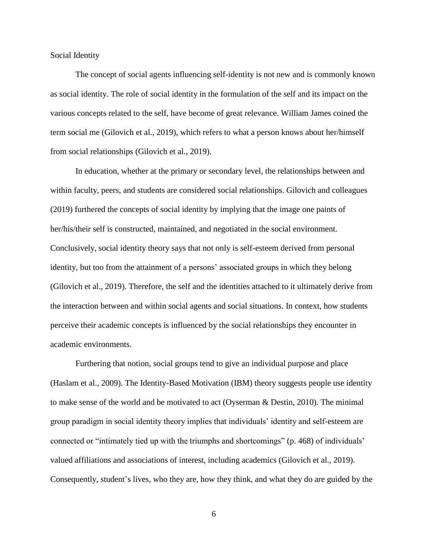Social Identity

The concept of social agents influencing self-identity is not new and is commonly known as social identity. The role of social identity in the formulation of the self and its impact on the various concepts related to the self, have become of great relevance. William James coined the term social me (Gilovich et al., 2019), which refers to what a person knows about her/himself from social relationships (Gilovich et al., 2019).

In education, whether at the primary or secondary level, the relationships between and within faculty, peers, and students are considered social relationships. Gilovich and colleagues (2019) furthered the concepts of social identity by implying that the image one paints of her/his/their self is constructed, maintained, and negotiated in the social environment. Conclusively, social identity theory says that not only is self-esteem derived from personal identity, but too from the attainment of a persons' associated groups in which they belong (Gilovich et al., 2019). Therefore, the self and the identities attached to it ultimately derive from the interaction between and within social agents and social situations. In context, how students perceive their academic concepts is influenced by the social relationships they encounter in academic environments.

Furthering that notion, social groups tend to give an individual purpose and place (Haslam et al., 2009). The Identity-Based Motivation (IBM) theory suggests people use identity to make sense of the world and be motivated to act (Oyserman & Destin, 2010). The minimal group paradigm in social identity theory implies that individuals' identity and self-esteem are connected or "intimately tied up with the triumphs and shortcomings" (p. 468) of individuals' valued affiliations and associations of interest, including academics (Gilovich et al., 2019). Consequently, student's lives, who they are, how they think, and what they do are guided by the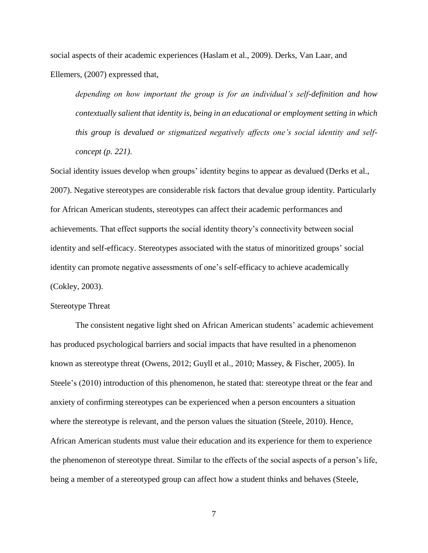social aspects of their academic experiences (Haslam et al., 2009). Derks, Van Laar, and Ellemers, (2007) expressed that,

*depending on how important the group is for an individual's self-definition and how contextually salient that identity is, being in an educational or employment setting in which this group is devalued or stigmatized negatively affects one's social identity and selfconcept (p. 221).*

Social identity issues develop when groups' identity begins to appear as devalued (Derks et al., 2007). Negative stereotypes are considerable risk factors that devalue group identity. Particularly for African American students, stereotypes can affect their academic performances and achievements. That effect supports the social identity theory's connectivity between social identity and self-efficacy. Stereotypes associated with the status of minoritized groups' social identity can promote negative assessments of one's self-efficacy to achieve academically (Cokley, 2003).

#### Stereotype Threat

The consistent negative light shed on African American students' academic achievement has produced psychological barriers and social impacts that have resulted in a phenomenon known as stereotype threat (Owens, 2012; Guyll et al., 2010; Massey, & Fischer, 2005). In Steele's (2010) introduction of this phenomenon, he stated that: stereotype threat or the fear and anxiety of confirming stereotypes can be experienced when a person encounters a situation where the stereotype is relevant, and the person values the situation (Steele, 2010). Hence, African American students must value their education and its experience for them to experience the phenomenon of stereotype threat. Similar to the effects of the social aspects of a person's life, being a member of a stereotyped group can affect how a student thinks and behaves (Steele,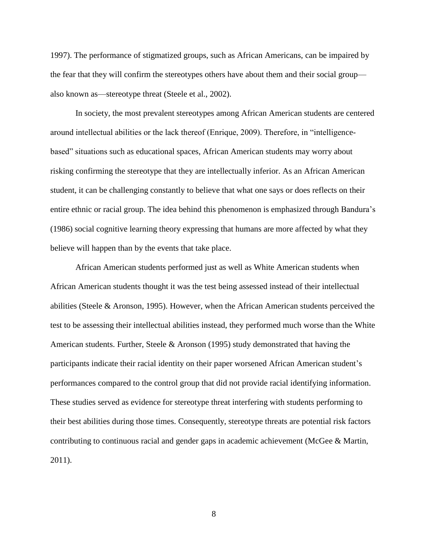1997). The performance of stigmatized groups, such as African Americans, can be impaired by the fear that they will confirm the stereotypes others have about them and their social group also known as—stereotype threat (Steele et al., 2002).

In society, the most prevalent stereotypes among African American students are centered around intellectual abilities or the lack thereof (Enrique, 2009). Therefore, in "intelligencebased" situations such as educational spaces, African American students may worry about risking confirming the stereotype that they are intellectually inferior. As an African American student, it can be challenging constantly to believe that what one says or does reflects on their entire ethnic or racial group. The idea behind this phenomenon is emphasized through Bandura's (1986) social cognitive learning theory expressing that humans are more affected by what they believe will happen than by the events that take place.

African American students performed just as well as White American students when African American students thought it was the test being assessed instead of their intellectual abilities (Steele & Aronson, 1995). However, when the African American students perceived the test to be assessing their intellectual abilities instead, they performed much worse than the White American students. Further, Steele & Aronson (1995) study demonstrated that having the participants indicate their racial identity on their paper worsened African American student's performances compared to the control group that did not provide racial identifying information. These studies served as evidence for stereotype threat interfering with students performing to their best abilities during those times. Consequently, stereotype threats are potential risk factors contributing to continuous racial and gender gaps in academic achievement (McGee & Martin, 2011).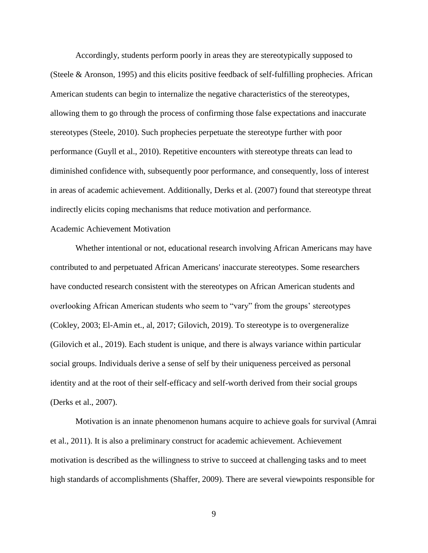Accordingly, students perform poorly in areas they are stereotypically supposed to (Steele & Aronson, 1995) and this elicits positive feedback of self-fulfilling prophecies. African American students can begin to internalize the negative characteristics of the stereotypes, allowing them to go through the process of confirming those false expectations and inaccurate stereotypes (Steele, 2010). Such prophecies perpetuate the stereotype further with poor performance (Guyll et al., 2010). Repetitive encounters with stereotype threats can lead to diminished confidence with, subsequently poor performance, and consequently, loss of interest in areas of academic achievement. Additionally, Derks et al. (2007) found that stereotype threat indirectly elicits coping mechanisms that reduce motivation and performance.

## Academic Achievement Motivation

Whether intentional or not, educational research involving African Americans may have contributed to and perpetuated African Americans' inaccurate stereotypes. Some researchers have conducted research consistent with the stereotypes on African American students and overlooking African American students who seem to "vary" from the groups' stereotypes (Cokley, 2003; El-Amin et., al, 2017; Gilovich, 2019). To stereotype is to overgeneralize (Gilovich et al., 2019). Each student is unique, and there is always variance within particular social groups. Individuals derive a sense of self by their uniqueness perceived as personal identity and at the root of their self-efficacy and self-worth derived from their social groups (Derks et al., 2007).

Motivation is an innate phenomenon humans acquire to achieve goals for survival (Amrai et al., 2011). It is also a preliminary construct for academic achievement. Achievement motivation is described as the willingness to strive to succeed at challenging tasks and to meet high standards of accomplishments (Shaffer, 2009). There are several viewpoints responsible for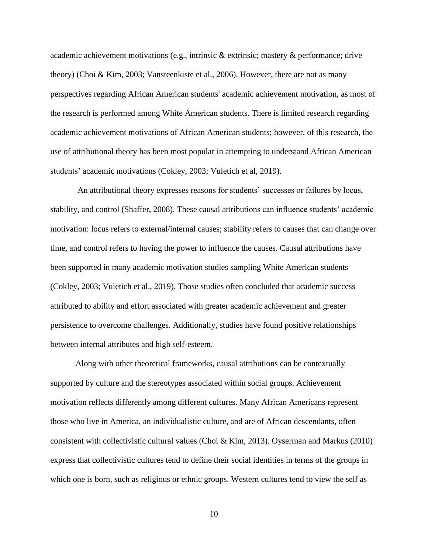academic achievement motivations (e.g., intrinsic & extrinsic; mastery & performance; drive theory) (Choi & Kim, 2003; Vansteenkiste et al., 2006). However, there are not as many perspectives regarding African American students' academic achievement motivation, as most of the research is performed among White American students. There is limited research regarding academic achievement motivations of African American students; however, of this research, the use of attributional theory has been most popular in attempting to understand African American students' academic motivations (Cokley, 2003; Vuletich et al, 2019).

An attributional theory expresses reasons for students' successes or failures by locus, stability, and control (Shaffer, 2008). These causal attributions can influence students' academic motivation: locus refers to external/internal causes; stability refers to causes that can change over time, and control refers to having the power to influence the causes. Causal attributions have been supported in many academic motivation studies sampling White American students (Cokley, 2003; Vuletich et al., 2019). Those studies often concluded that academic success attributed to ability and effort associated with greater academic achievement and greater persistence to overcome challenges. Additionally, studies have found positive relationships between internal attributes and high self-esteem.

Along with other theoretical frameworks, causal attributions can be contextually supported by culture and the stereotypes associated within social groups. Achievement motivation reflects differently among different cultures. Many African Americans represent those who live in America, an individualistic culture, and are of African descendants, often consistent with collectivistic cultural values (Choi & Kim, 2013). Oyserman and Markus (2010) express that collectivistic cultures tend to define their social identities in terms of the groups in which one is born, such as religious or ethnic groups. Western cultures tend to view the self as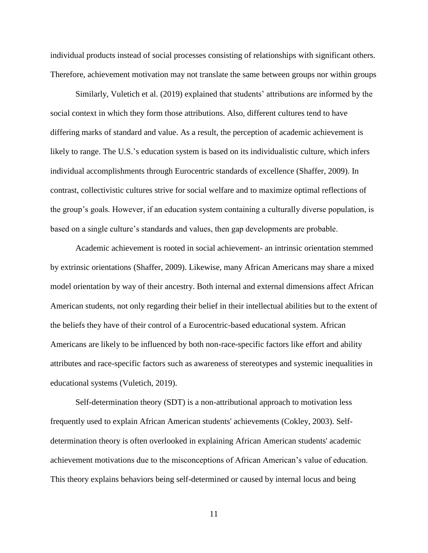individual products instead of social processes consisting of relationships with significant others. Therefore, achievement motivation may not translate the same between groups nor within groups

Similarly, Vuletich et al. (2019) explained that students' attributions are informed by the social context in which they form those attributions. Also, different cultures tend to have differing marks of standard and value. As a result, the perception of academic achievement is likely to range. The U.S.'s education system is based on its individualistic culture, which infers individual accomplishments through Eurocentric standards of excellence (Shaffer, 2009). In contrast, collectivistic cultures strive for social welfare and to maximize optimal reflections of the group's goals. However, if an education system containing a culturally diverse population, is based on a single culture's standards and values, then gap developments are probable.

Academic achievement is rooted in social achievement- an intrinsic orientation stemmed by extrinsic orientations (Shaffer, 2009). Likewise, many African Americans may share a mixed model orientation by way of their ancestry. Both internal and external dimensions affect African American students, not only regarding their belief in their intellectual abilities but to the extent of the beliefs they have of their control of a Eurocentric-based educational system. African Americans are likely to be influenced by both non-race-specific factors like effort and ability attributes and race-specific factors such as awareness of stereotypes and systemic inequalities in educational systems (Vuletich, 2019).

Self-determination theory (SDT) is a non-attributional approach to motivation less frequently used to explain African American students' achievements (Cokley, 2003). Selfdetermination theory is often overlooked in explaining African American students' academic achievement motivations due to the misconceptions of African American's value of education. This theory explains behaviors being self-determined or caused by internal locus and being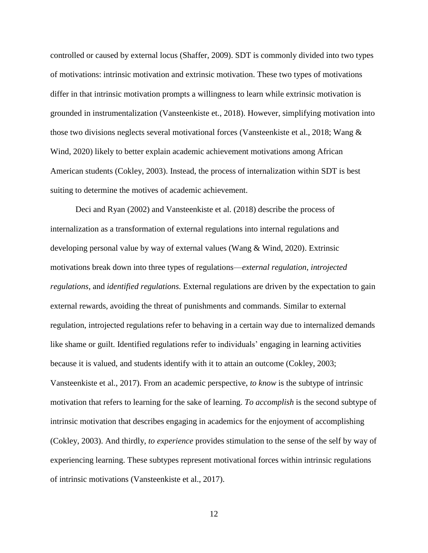controlled or caused by external locus (Shaffer, 2009). SDT is commonly divided into two types of motivations: intrinsic motivation and extrinsic motivation. These two types of motivations differ in that intrinsic motivation prompts a willingness to learn while extrinsic motivation is grounded in instrumentalization (Vansteenkiste et., 2018). However, simplifying motivation into those two divisions neglects several motivational forces (Vansteenkiste et al., 2018; Wang & Wind, 2020) likely to better explain academic achievement motivations among African American students (Cokley, 2003). Instead, the process of internalization within SDT is best suiting to determine the motives of academic achievement.

Deci and Ryan (2002) and Vansteenkiste et al. (2018) describe the process of internalization as a transformation of external regulations into internal regulations and developing personal value by way of external values (Wang & Wind, 2020). Extrinsic motivations break down into three types of regulations—*external regulation*, *introjected regulations*, and *identified regulations.* External regulations are driven by the expectation to gain external rewards, avoiding the threat of punishments and commands. Similar to external regulation, introjected regulations refer to behaving in a certain way due to internalized demands like shame or guilt. Identified regulations refer to individuals' engaging in learning activities because it is valued, and students identify with it to attain an outcome (Cokley, 2003; Vansteenkiste et al., 2017). From an academic perspective, *to know* is the subtype of intrinsic motivation that refers to learning for the sake of learning. *To accomplish* is the second subtype of intrinsic motivation that describes engaging in academics for the enjoyment of accomplishing (Cokley, 2003). And thirdly, *to experience* provides stimulation to the sense of the self by way of experiencing learning. These subtypes represent motivational forces within intrinsic regulations of intrinsic motivations (Vansteenkiste et al., 2017).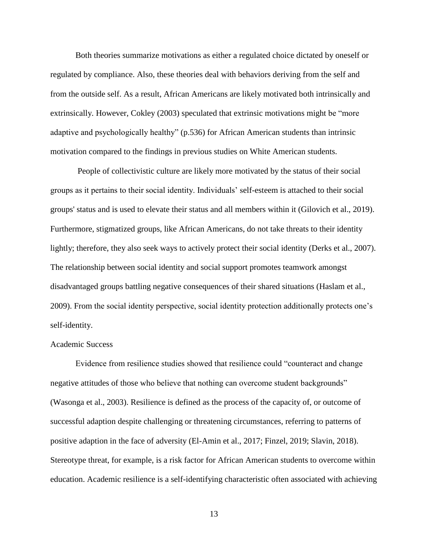Both theories summarize motivations as either a regulated choice dictated by oneself or regulated by compliance. Also, these theories deal with behaviors deriving from the self and from the outside self. As a result, African Americans are likely motivated both intrinsically and extrinsically. However, Cokley (2003) speculated that extrinsic motivations might be "more adaptive and psychologically healthy" (p.536) for African American students than intrinsic motivation compared to the findings in previous studies on White American students.

People of collectivistic culture are likely more motivated by the status of their social groups as it pertains to their social identity. Individuals' self-esteem is attached to their social groups' status and is used to elevate their status and all members within it (Gilovich et al., 2019). Furthermore, stigmatized groups, like African Americans, do not take threats to their identity lightly; therefore, they also seek ways to actively protect their social identity (Derks et al., 2007). The relationship between social identity and social support promotes teamwork amongst disadvantaged groups battling negative consequences of their shared situations (Haslam et al., 2009). From the social identity perspective, social identity protection additionally protects one's self-identity.

## Academic Success

Evidence from resilience studies showed that resilience could "counteract and change negative attitudes of those who believe that nothing can overcome student backgrounds" (Wasonga et al., 2003). Resilience is defined as the process of the capacity of, or outcome of successful adaption despite challenging or threatening circumstances, referring to patterns of positive adaption in the face of adversity (El-Amin et al., 2017; Finzel, 2019; Slavin, 2018). Stereotype threat, for example, is a risk factor for African American students to overcome within education. Academic resilience is a self-identifying characteristic often associated with achieving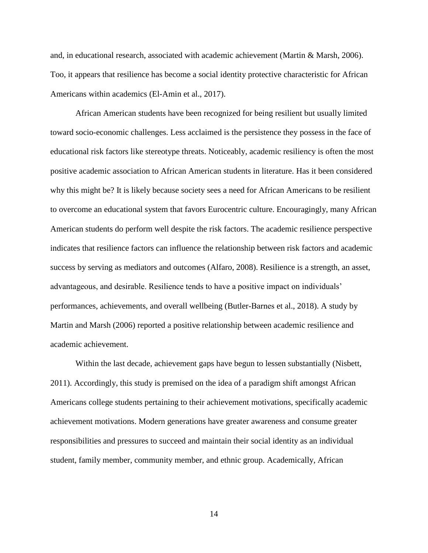and, in educational research, associated with academic achievement (Martin & Marsh, 2006). Too, it appears that resilience has become a social identity protective characteristic for African Americans within academics (El-Amin et al., 2017).

African American students have been recognized for being resilient but usually limited toward socio-economic challenges. Less acclaimed is the persistence they possess in the face of educational risk factors like stereotype threats. Noticeably, academic resiliency is often the most positive academic association to African American students in literature. Has it been considered why this might be? It is likely because society sees a need for African Americans to be resilient to overcome an educational system that favors Eurocentric culture. Encouragingly, many African American students do perform well despite the risk factors. The academic resilience perspective indicates that resilience factors can influence the relationship between risk factors and academic success by serving as mediators and outcomes (Alfaro, 2008). Resilience is a strength, an asset, advantageous, and desirable. Resilience tends to have a positive impact on individuals' performances, achievements, and overall wellbeing (Butler‐Barnes et al., 2018). A study by Martin and Marsh (2006) reported a positive relationship between academic resilience and academic achievement.

Within the last decade, achievement gaps have begun to lessen substantially (Nisbett, 2011). Accordingly, this study is premised on the idea of a paradigm shift amongst African Americans college students pertaining to their achievement motivations, specifically academic achievement motivations. Modern generations have greater awareness and consume greater responsibilities and pressures to succeed and maintain their social identity as an individual student, family member, community member, and ethnic group. Academically, African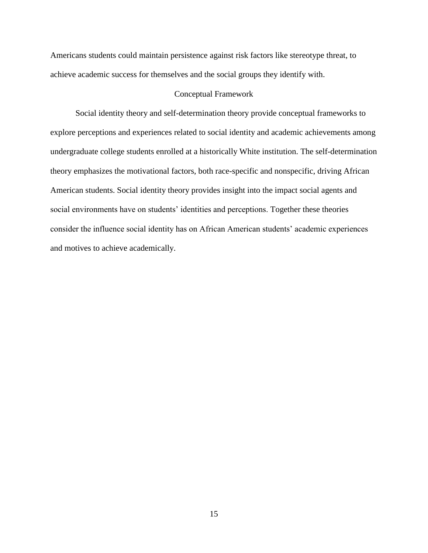Americans students could maintain persistence against risk factors like stereotype threat, to achieve academic success for themselves and the social groups they identify with.

### Conceptual Framework

Social identity theory and self-determination theory provide conceptual frameworks to explore perceptions and experiences related to social identity and academic achievements among undergraduate college students enrolled at a historically White institution. The self-determination theory emphasizes the motivational factors, both race-specific and nonspecific, driving African American students. Social identity theory provides insight into the impact social agents and social environments have on students' identities and perceptions. Together these theories consider the influence social identity has on African American students' academic experiences and motives to achieve academically.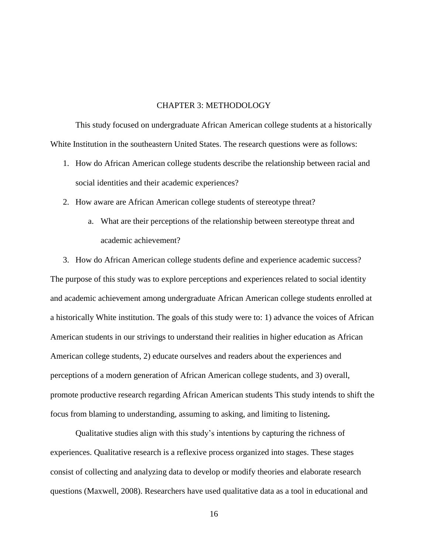### CHAPTER 3: METHODOLOGY

This study focused on undergraduate African American college students at a historically White Institution in the southeastern United States. The research questions were as follows:

- 1. How do African American college students describe the relationship between racial and social identities and their academic experiences?
- 2. How aware are African American college students of stereotype threat?
	- a. What are their perceptions of the relationship between stereotype threat and academic achievement?

3. How do African American college students define and experience academic success? The purpose of this study was to explore perceptions and experiences related to social identity and academic achievement among undergraduate African American college students enrolled at a historically White institution. The goals of this study were to: 1) advance the voices of African American students in our strivings to understand their realities in higher education as African American college students, 2) educate ourselves and readers about the experiences and perceptions of a modern generation of African American college students, and 3) overall, promote productive research regarding African American students This study intends to shift the focus from blaming to understanding, assuming to asking, and limiting to listening**.** 

Qualitative studies align with this study's intentions by capturing the richness of experiences. Qualitative research is a reflexive process organized into stages. These stages consist of collecting and analyzing data to develop or modify theories and elaborate research questions (Maxwell, 2008). Researchers have used qualitative data as a tool in educational and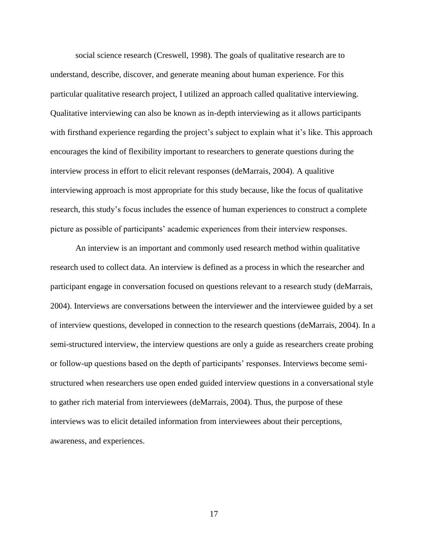social science research (Creswell, 1998). The goals of qualitative research are to understand, describe, discover, and generate meaning about human experience. For this particular qualitative research project, I utilized an approach called qualitative interviewing. Qualitative interviewing can also be known as in-depth interviewing as it allows participants with firsthand experience regarding the project's subject to explain what it's like. This approach encourages the kind of flexibility important to researchers to generate questions during the interview process in effort to elicit relevant responses (deMarrais, 2004). A qualitive interviewing approach is most appropriate for this study because, like the focus of qualitative research, this study's focus includes the essence of human experiences to construct a complete picture as possible of participants' academic experiences from their interview responses.

An interview is an important and commonly used research method within qualitative research used to collect data. An interview is defined as a process in which the researcher and participant engage in conversation focused on questions relevant to a research study (deMarrais, 2004). Interviews are conversations between the interviewer and the interviewee guided by a set of interview questions, developed in connection to the research questions (deMarrais, 2004). In a semi-structured interview, the interview questions are only a guide as researchers create probing or follow-up questions based on the depth of participants' responses. Interviews become semistructured when researchers use open ended guided interview questions in a conversational style to gather rich material from interviewees (deMarrais, 2004). Thus, the purpose of these interviews was to elicit detailed information from interviewees about their perceptions, awareness, and experiences.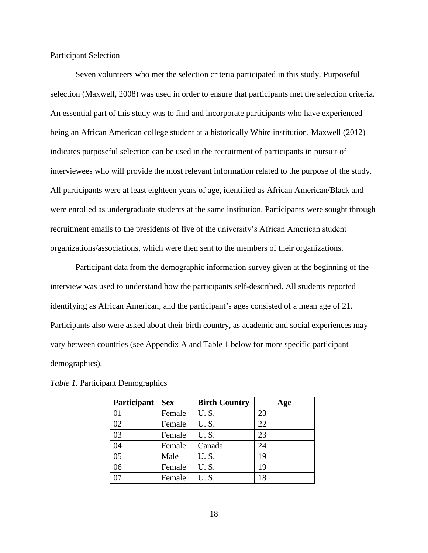Participant Selection

Seven volunteers who met the selection criteria participated in this study. Purposeful selection (Maxwell, 2008) was used in order to ensure that participants met the selection criteria. An essential part of this study was to find and incorporate participants who have experienced being an African American college student at a historically White institution. Maxwell (2012) indicates purposeful selection can be used in the recruitment of participants in pursuit of interviewees who will provide the most relevant information related to the purpose of the study. All participants were at least eighteen years of age, identified as African American/Black and were enrolled as undergraduate students at the same institution. Participants were sought through recruitment emails to the presidents of five of the university's African American student organizations/associations, which were then sent to the members of their organizations.

Participant data from the demographic information survey given at the beginning of the interview was used to understand how the participants self-described. All students reported identifying as African American, and the participant's ages consisted of a mean age of 21. Participants also were asked about their birth country, as academic and social experiences may vary between countries (see Appendix A and Table 1 below for more specific participant demographics).

| Participant | <b>Sex</b> | <b>Birth Country</b> | Age |
|-------------|------------|----------------------|-----|
| 01          | Female     | <b>U.S.</b>          | 23  |
| 02          | Female     | <b>U.S.</b>          | 22  |
| 03          | Female     | <b>U.S.</b>          | 23  |
| 04          | Female     | Canada               | 24  |
| 05          | Male       | U.S.                 | 19  |
| 06          | Female     | <b>U.S.</b>          | 19  |
| 07          | Female     | U.S.                 | 18  |

*Table 1.* Participant Demographics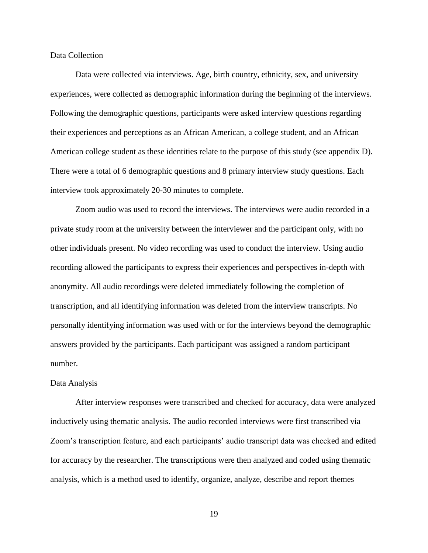Data Collection

Data were collected via interviews. Age, birth country, ethnicity, sex, and university experiences, were collected as demographic information during the beginning of the interviews. Following the demographic questions, participants were asked interview questions regarding their experiences and perceptions as an African American, a college student, and an African American college student as these identities relate to the purpose of this study (see appendix D). There were a total of 6 demographic questions and 8 primary interview study questions. Each interview took approximately 20-30 minutes to complete.

Zoom audio was used to record the interviews. The interviews were audio recorded in a private study room at the university between the interviewer and the participant only, with no other individuals present. No video recording was used to conduct the interview. Using audio recording allowed the participants to express their experiences and perspectives in-depth with anonymity. All audio recordings were deleted immediately following the completion of transcription, and all identifying information was deleted from the interview transcripts. No personally identifying information was used with or for the interviews beyond the demographic answers provided by the participants. Each participant was assigned a random participant number.

#### Data Analysis

After interview responses were transcribed and checked for accuracy, data were analyzed inductively using thematic analysis. The audio recorded interviews were first transcribed via Zoom's transcription feature, and each participants' audio transcript data was checked and edited for accuracy by the researcher. The transcriptions were then analyzed and coded using thematic analysis, which is a method used to identify, organize, analyze, describe and report themes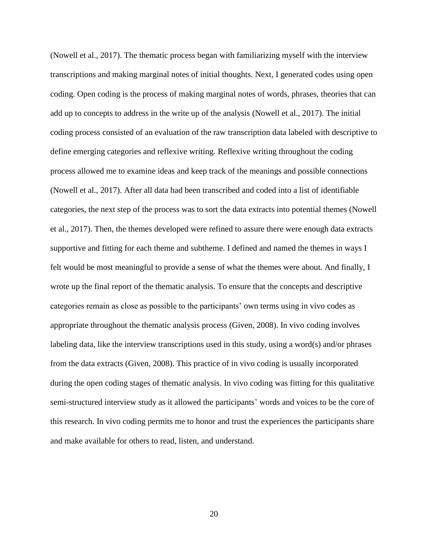(Nowell et al., 2017). The thematic process began with familiarizing myself with the interview transcriptions and making marginal notes of initial thoughts. Next, I generated codes using open coding. Open coding is the process of making marginal notes of words, phrases, theories that can add up to concepts to address in the write up of the analysis (Nowell et al., 2017). The initial coding process consisted of an evaluation of the raw transcription data labeled with descriptive to define emerging categories and reflexive writing. Reflexive writing throughout the coding process allowed me to examine ideas and keep track of the meanings and possible connections (Nowell et al., 2017). After all data had been transcribed and coded into a list of identifiable categories, the next step of the process was to sort the data extracts into potential themes (Nowell et al., 2017). Then, the themes developed were refined to assure there were enough data extracts supportive and fitting for each theme and subtheme. I defined and named the themes in ways I felt would be most meaningful to provide a sense of what the themes were about. And finally, I wrote up the final report of the thematic analysis. To ensure that the concepts and descriptive categories remain as close as possible to the participants' own terms using in vivo codes as appropriate throughout the thematic analysis process (Given, 2008). In vivo coding involves labeling data, like the interview transcriptions used in this study, using a word(s) and/or phrases from the data extracts (Given, 2008). This practice of in vivo coding is usually incorporated during the open coding stages of thematic analysis. In vivo coding was fitting for this qualitative semi-structured interview study as it allowed the participants' words and voices to be the core of this research. In vivo coding permits me to honor and trust the experiences the participants share and make available for others to read, listen, and understand.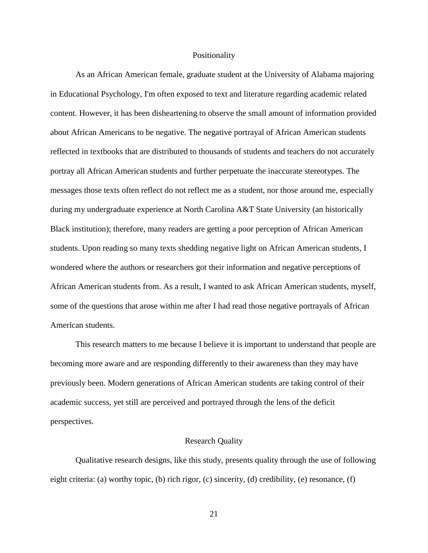#### Positionality

As an African American female, graduate student at the University of Alabama majoring in Educational Psychology, I'm often exposed to text and literature regarding academic related content. However, it has been disheartening to observe the small amount of information provided about African Americans to be negative. The negative portrayal of African American students reflected in textbooks that are distributed to thousands of students and teachers do not accurately portray all African American students and further perpetuate the inaccurate stereotypes. The messages those texts often reflect do not reflect me as a student, nor those around me, especially during my undergraduate experience at North Carolina A&T State University (an historically Black institution); therefore, many readers are getting a poor perception of African American students. Upon reading so many texts shedding negative light on African American students, I wondered where the authors or researchers got their information and negative perceptions of African American students from. As a result, I wanted to ask African American students, myself, some of the questions that arose within me after I had read those negative portrayals of African American students.

This research matters to me because I believe it is important to understand that people are becoming more aware and are responding differently to their awareness than they may have previously been. Modern generations of African American students are taking control of their academic success, yet still are perceived and portrayed through the lens of the deficit perspectives.

#### Research Quality

Qualitative research designs, like this study, presents quality through the use of following eight criteria: (a) worthy topic, (b) rich rigor, (c) sincerity, (d) credibility, (e) resonance, (f)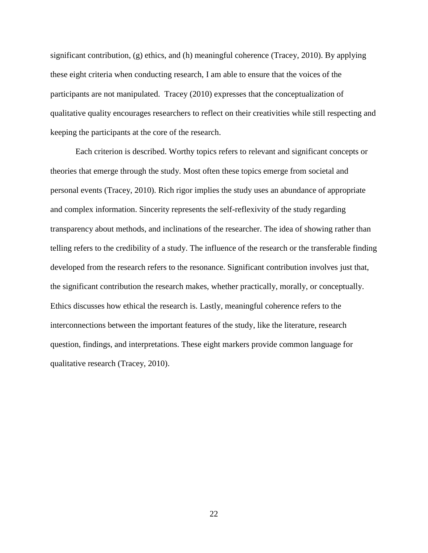significant contribution, (g) ethics, and (h) meaningful coherence (Tracey, 2010). By applying these eight criteria when conducting research, I am able to ensure that the voices of the participants are not manipulated. Tracey (2010) expresses that the conceptualization of qualitative quality encourages researchers to reflect on their creativities while still respecting and keeping the participants at the core of the research.

Each criterion is described. Worthy topics refers to relevant and significant concepts or theories that emerge through the study. Most often these topics emerge from societal and personal events (Tracey, 2010). Rich rigor implies the study uses an abundance of appropriate and complex information. Sincerity represents the self-reflexivity of the study regarding transparency about methods, and inclinations of the researcher. The idea of showing rather than telling refers to the credibility of a study. The influence of the research or the transferable finding developed from the research refers to the resonance. Significant contribution involves just that, the significant contribution the research makes, whether practically, morally, or conceptually. Ethics discusses how ethical the research is. Lastly, meaningful coherence refers to the interconnections between the important features of the study, like the literature, research question, findings, and interpretations. These eight markers provide common language for qualitative research (Tracey, 2010).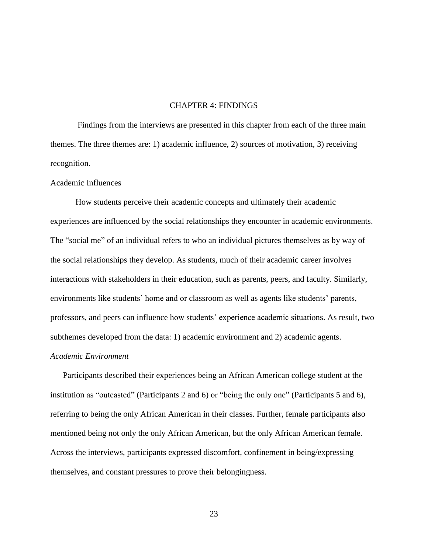### CHAPTER 4: FINDINGS

Findings from the interviews are presented in this chapter from each of the three main themes. The three themes are: 1) academic influence, 2) sources of motivation, 3) receiving recognition.

### Academic Influences

How students perceive their academic concepts and ultimately their academic experiences are influenced by the social relationships they encounter in academic environments. The "social me" of an individual refers to who an individual pictures themselves as by way of the social relationships they develop. As students, much of their academic career involves interactions with stakeholders in their education, such as parents, peers, and faculty. Similarly, environments like students' home and or classroom as well as agents like students' parents, professors, and peers can influence how students' experience academic situations. As result, two subthemes developed from the data: 1) academic environment and 2) academic agents.

## *Academic Environment*

Participants described their experiences being an African American college student at the institution as "outcasted" (Participants 2 and 6) or "being the only one" (Participants 5 and 6), referring to being the only African American in their classes. Further, female participants also mentioned being not only the only African American, but the only African American female. Across the interviews, participants expressed discomfort, confinement in being/expressing themselves, and constant pressures to prove their belongingness.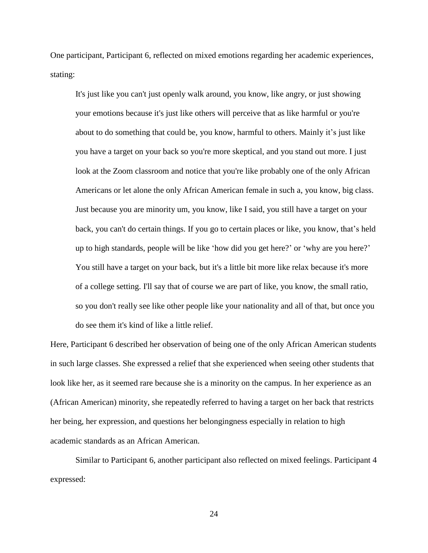One participant, Participant 6, reflected on mixed emotions regarding her academic experiences, stating:

It's just like you can't just openly walk around, you know, like angry, or just showing your emotions because it's just like others will perceive that as like harmful or you're about to do something that could be, you know, harmful to others. Mainly it's just like you have a target on your back so you're more skeptical, and you stand out more. I just look at the Zoom classroom and notice that you're like probably one of the only African Americans or let alone the only African American female in such a, you know, big class. Just because you are minority um, you know, like I said, you still have a target on your back, you can't do certain things. If you go to certain places or like, you know, that's held up to high standards, people will be like 'how did you get here?' or 'why are you here?' You still have a target on your back, but it's a little bit more like relax because it's more of a college setting. I'll say that of course we are part of like, you know, the small ratio, so you don't really see like other people like your nationality and all of that, but once you do see them it's kind of like a little relief.

Here, Participant 6 described her observation of being one of the only African American students in such large classes. She expressed a relief that she experienced when seeing other students that look like her, as it seemed rare because she is a minority on the campus. In her experience as an (African American) minority, she repeatedly referred to having a target on her back that restricts her being, her expression, and questions her belongingness especially in relation to high academic standards as an African American.

Similar to Participant 6, another participant also reflected on mixed feelings. Participant 4 expressed: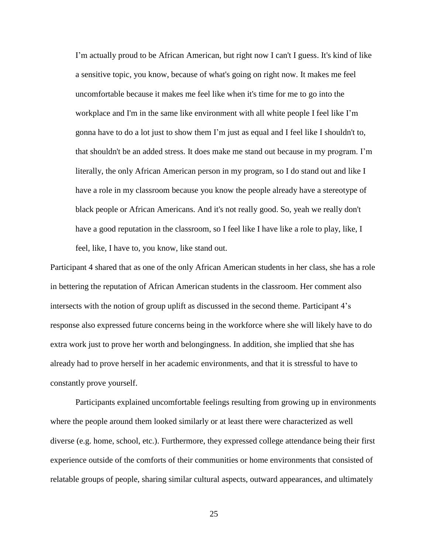I'm actually proud to be African American, but right now I can't I guess. It's kind of like a sensitive topic, you know, because of what's going on right now. It makes me feel uncomfortable because it makes me feel like when it's time for me to go into the workplace and I'm in the same like environment with all white people I feel like I'm gonna have to do a lot just to show them I'm just as equal and I feel like I shouldn't to, that shouldn't be an added stress. It does make me stand out because in my program. I'm literally, the only African American person in my program, so I do stand out and like I have a role in my classroom because you know the people already have a stereotype of black people or African Americans. And it's not really good. So, yeah we really don't have a good reputation in the classroom, so I feel like I have like a role to play, like, I feel, like, I have to, you know, like stand out.

Participant 4 shared that as one of the only African American students in her class, she has a role in bettering the reputation of African American students in the classroom. Her comment also intersects with the notion of group uplift as discussed in the second theme. Participant 4's response also expressed future concerns being in the workforce where she will likely have to do extra work just to prove her worth and belongingness. In addition, she implied that she has already had to prove herself in her academic environments, and that it is stressful to have to constantly prove yourself.

Participants explained uncomfortable feelings resulting from growing up in environments where the people around them looked similarly or at least there were characterized as well diverse (e.g. home, school, etc.). Furthermore, they expressed college attendance being their first experience outside of the comforts of their communities or home environments that consisted of relatable groups of people, sharing similar cultural aspects, outward appearances, and ultimately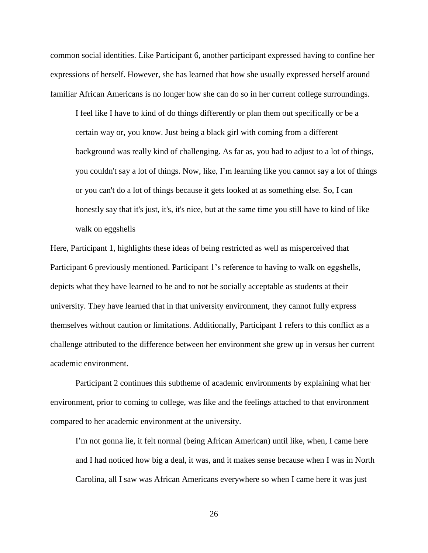common social identities. Like Participant 6, another participant expressed having to confine her expressions of herself. However, she has learned that how she usually expressed herself around familiar African Americans is no longer how she can do so in her current college surroundings.

I feel like I have to kind of do things differently or plan them out specifically or be a certain way or, you know. Just being a black girl with coming from a different background was really kind of challenging. As far as, you had to adjust to a lot of things, you couldn't say a lot of things. Now, like, I'm learning like you cannot say a lot of things or you can't do a lot of things because it gets looked at as something else. So, I can honestly say that it's just, it's, it's nice, but at the same time you still have to kind of like walk on eggshells

Here, Participant 1, highlights these ideas of being restricted as well as misperceived that Participant 6 previously mentioned. Participant 1's reference to having to walk on eggshells, depicts what they have learned to be and to not be socially acceptable as students at their university. They have learned that in that university environment, they cannot fully express themselves without caution or limitations. Additionally, Participant 1 refers to this conflict as a challenge attributed to the difference between her environment she grew up in versus her current academic environment.

Participant 2 continues this subtheme of academic environments by explaining what her environment, prior to coming to college, was like and the feelings attached to that environment compared to her academic environment at the university.

I'm not gonna lie, it felt normal (being African American) until like, when, I came here and I had noticed how big a deal, it was, and it makes sense because when I was in North Carolina, all I saw was African Americans everywhere so when I came here it was just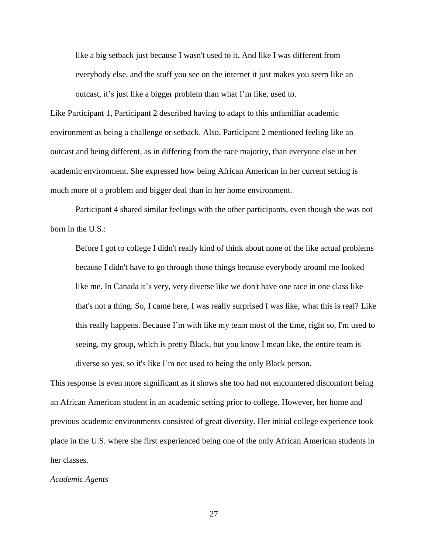like a big setback just because I wasn't used to it. And like I was different from everybody else, and the stuff you see on the internet it just makes you seem like an outcast, it's just like a bigger problem than what I'm like, used to.

Like Participant 1, Participant 2 described having to adapt to this unfamiliar academic environment as being a challenge or setback. Also, Participant 2 mentioned feeling like an outcast and being different, as in differing from the race majority, than everyone else in her academic environment. She expressed how being African American in her current setting is much more of a problem and bigger deal than in her home environment.

Participant 4 shared similar feelings with the other participants, even though she was not born in the U.S.:

Before I got to college I didn't really kind of think about none of the like actual problems because I didn't have to go through those things because everybody around me looked like me. In Canada it's very, very diverse like we don't have one race in one class like that's not a thing. So, I came here, I was really surprised I was like, what this is real? Like this really happens. Because I'm with like my team most of the time, right so, I'm used to seeing, my group, which is pretty Black, but you know I mean like, the entire team is diverse so yes, so it's like I'm not used to being the only Black person.

This response is even more significant as it shows she too had not encountered discomfort being an African American student in an academic setting prior to college. However, her home and previous academic environments consisted of great diversity. Her initial college experience took place in the U.S. where she first experienced being one of the only African American students in her classes.

### *Academic Agents*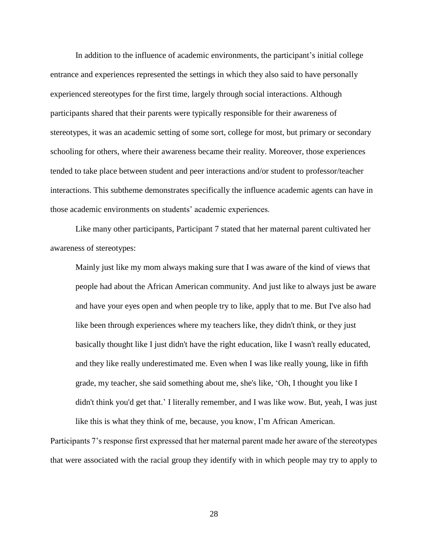In addition to the influence of academic environments, the participant's initial college entrance and experiences represented the settings in which they also said to have personally experienced stereotypes for the first time, largely through social interactions. Although participants shared that their parents were typically responsible for their awareness of stereotypes, it was an academic setting of some sort, college for most, but primary or secondary schooling for others, where their awareness became their reality. Moreover, those experiences tended to take place between student and peer interactions and/or student to professor/teacher interactions. This subtheme demonstrates specifically the influence academic agents can have in those academic environments on students' academic experiences.

Like many other participants, Participant 7 stated that her maternal parent cultivated her awareness of stereotypes:

Mainly just like my mom always making sure that I was aware of the kind of views that people had about the African American community. And just like to always just be aware and have your eyes open and when people try to like, apply that to me. But I've also had like been through experiences where my teachers like, they didn't think, or they just basically thought like I just didn't have the right education, like I wasn't really educated, and they like really underestimated me. Even when I was like really young, like in fifth grade, my teacher, she said something about me, she's like, 'Oh, I thought you like I didn't think you'd get that.' I literally remember, and I was like wow. But, yeah, I was just like this is what they think of me, because, you know, I'm African American.

Participants 7's response first expressed that her maternal parent made her aware of the stereotypes that were associated with the racial group they identify with in which people may try to apply to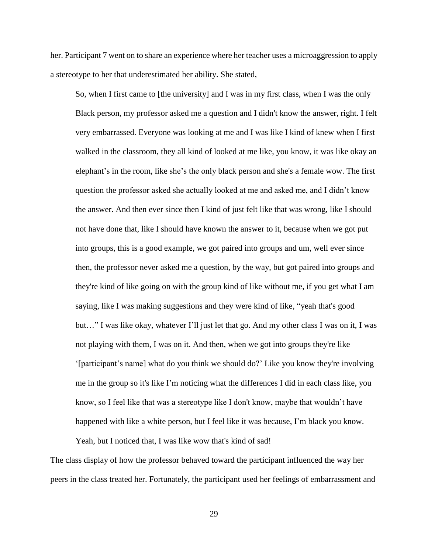her. Participant 7 went on to share an experience where her teacher uses a microaggression to apply a stereotype to her that underestimated her ability. She stated,

So, when I first came to [the university] and I was in my first class, when I was the only Black person, my professor asked me a question and I didn't know the answer, right. I felt very embarrassed. Everyone was looking at me and I was like I kind of knew when I first walked in the classroom, they all kind of looked at me like, you know, it was like okay an elephant's in the room, like she's the only black person and she's a female wow. The first question the professor asked she actually looked at me and asked me, and I didn't know the answer. And then ever since then I kind of just felt like that was wrong, like I should not have done that, like I should have known the answer to it, because when we got put into groups, this is a good example, we got paired into groups and um, well ever since then, the professor never asked me a question, by the way, but got paired into groups and they're kind of like going on with the group kind of like without me, if you get what I am saying, like I was making suggestions and they were kind of like, "yeah that's good but…" I was like okay, whatever I'll just let that go. And my other class I was on it, I was not playing with them, I was on it. And then, when we got into groups they're like '[participant's name] what do you think we should do?' Like you know they're involving me in the group so it's like I'm noticing what the differences I did in each class like, you know, so I feel like that was a stereotype like I don't know, maybe that wouldn't have happened with like a white person, but I feel like it was because, I'm black you know.

Yeah, but I noticed that, I was like wow that's kind of sad!

The class display of how the professor behaved toward the participant influenced the way her peers in the class treated her. Fortunately, the participant used her feelings of embarrassment and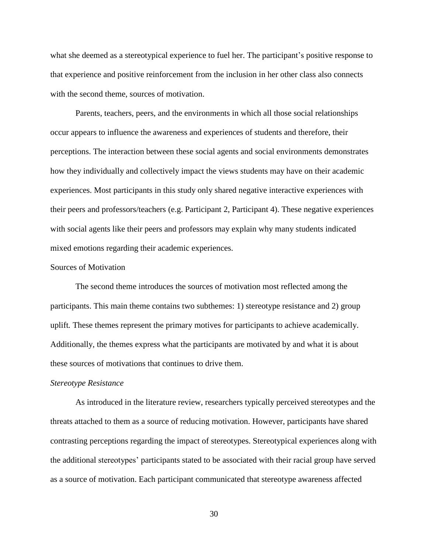what she deemed as a stereotypical experience to fuel her. The participant's positive response to that experience and positive reinforcement from the inclusion in her other class also connects with the second theme, sources of motivation.

Parents, teachers, peers, and the environments in which all those social relationships occur appears to influence the awareness and experiences of students and therefore, their perceptions. The interaction between these social agents and social environments demonstrates how they individually and collectively impact the views students may have on their academic experiences. Most participants in this study only shared negative interactive experiences with their peers and professors/teachers (e.g. Participant 2, Participant 4). These negative experiences with social agents like their peers and professors may explain why many students indicated mixed emotions regarding their academic experiences.

### Sources of Motivation

The second theme introduces the sources of motivation most reflected among the participants. This main theme contains two subthemes: 1) stereotype resistance and 2) group uplift*.* These themes represent the primary motives for participants to achieve academically. Additionally, the themes express what the participants are motivated by and what it is about these sources of motivations that continues to drive them.

#### *Stereotype Resistance*

As introduced in the literature review, researchers typically perceived stereotypes and the threats attached to them as a source of reducing motivation. However, participants have shared contrasting perceptions regarding the impact of stereotypes. Stereotypical experiences along with the additional stereotypes' participants stated to be associated with their racial group have served as a source of motivation. Each participant communicated that stereotype awareness affected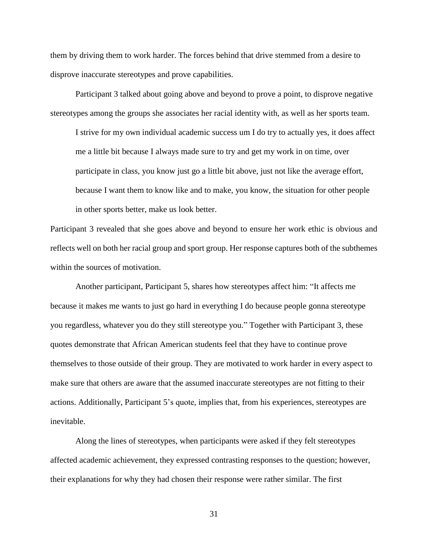them by driving them to work harder. The forces behind that drive stemmed from a desire to disprove inaccurate stereotypes and prove capabilities.

Participant 3 talked about going above and beyond to prove a point, to disprove negative stereotypes among the groups she associates her racial identity with, as well as her sports team.

I strive for my own individual academic success um I do try to actually yes, it does affect me a little bit because I always made sure to try and get my work in on time, over participate in class, you know just go a little bit above, just not like the average effort, because I want them to know like and to make, you know, the situation for other people in other sports better, make us look better.

Participant 3 revealed that she goes above and beyond to ensure her work ethic is obvious and reflects well on both her racial group and sport group. Her response captures both of the subthemes within the sources of motivation.

Another participant, Participant 5, shares how stereotypes affect him: "It affects me because it makes me wants to just go hard in everything I do because people gonna stereotype you regardless, whatever you do they still stereotype you." Together with Participant 3, these quotes demonstrate that African American students feel that they have to continue prove themselves to those outside of their group. They are motivated to work harder in every aspect to make sure that others are aware that the assumed inaccurate stereotypes are not fitting to their actions. Additionally, Participant 5's quote, implies that, from his experiences, stereotypes are inevitable.

Along the lines of stereotypes, when participants were asked if they felt stereotypes affected academic achievement, they expressed contrasting responses to the question; however, their explanations for why they had chosen their response were rather similar. The first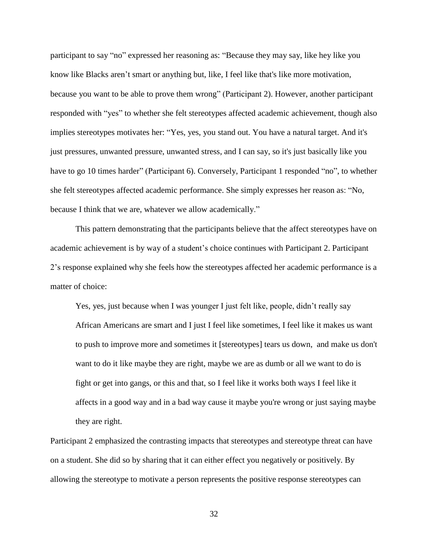participant to say "no" expressed her reasoning as: "Because they may say, like hey like you know like Blacks aren't smart or anything but, like, I feel like that's like more motivation, because you want to be able to prove them wrong" (Participant 2). However, another participant responded with "yes" to whether she felt stereotypes affected academic achievement, though also implies stereotypes motivates her: "Yes, yes, you stand out. You have a natural target. And it's just pressures, unwanted pressure, unwanted stress, and I can say, so it's just basically like you have to go 10 times harder" (Participant 6). Conversely, Participant 1 responded "no", to whether she felt stereotypes affected academic performance. She simply expresses her reason as: "No, because I think that we are, whatever we allow academically."

This pattern demonstrating that the participants believe that the affect stereotypes have on academic achievement is by way of a student's choice continues with Participant 2. Participant 2's response explained why she feels how the stereotypes affected her academic performance is a matter of choice:

Yes, yes, just because when I was younger I just felt like, people, didn't really say African Americans are smart and I just I feel like sometimes, I feel like it makes us want to push to improve more and sometimes it [stereotypes] tears us down, and make us don't want to do it like maybe they are right, maybe we are as dumb or all we want to do is fight or get into gangs, or this and that, so I feel like it works both ways I feel like it affects in a good way and in a bad way cause it maybe you're wrong or just saying maybe they are right.

Participant 2 emphasized the contrasting impacts that stereotypes and stereotype threat can have on a student. She did so by sharing that it can either effect you negatively or positively. By allowing the stereotype to motivate a person represents the positive response stereotypes can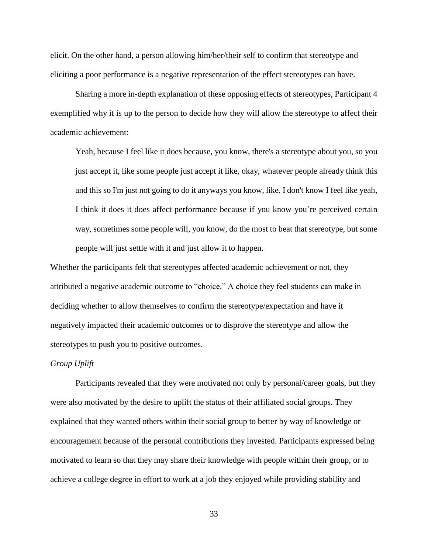elicit. On the other hand, a person allowing him/her/their self to confirm that stereotype and eliciting a poor performance is a negative representation of the effect stereotypes can have.

Sharing a more in-depth explanation of these opposing effects of stereotypes, Participant 4 exemplified why it is up to the person to decide how they will allow the stereotype to affect their academic achievement:

Yeah, because I feel like it does because, you know, there's a stereotype about you, so you just accept it, like some people just accept it like, okay, whatever people already think this and this so I'm just not going to do it anyways you know, like. I don't know I feel like yeah, I think it does it does affect performance because if you know you're perceived certain way, sometimes some people will, you know, do the most to beat that stereotype, but some people will just settle with it and just allow it to happen.

Whether the participants felt that stereotypes affected academic achievement or not, they attributed a negative academic outcome to "choice." A choice they feel students can make in deciding whether to allow themselves to confirm the stereotype/expectation and have it negatively impacted their academic outcomes or to disprove the stereotype and allow the stereotypes to push you to positive outcomes.

### *Group Uplift*

Participants revealed that they were motivated not only by personal/career goals, but they were also motivated by the desire to uplift the status of their affiliated social groups. They explained that they wanted others within their social group to better by way of knowledge or encouragement because of the personal contributions they invested. Participants expressed being motivated to learn so that they may share their knowledge with people within their group, or to achieve a college degree in effort to work at a job they enjoyed while providing stability and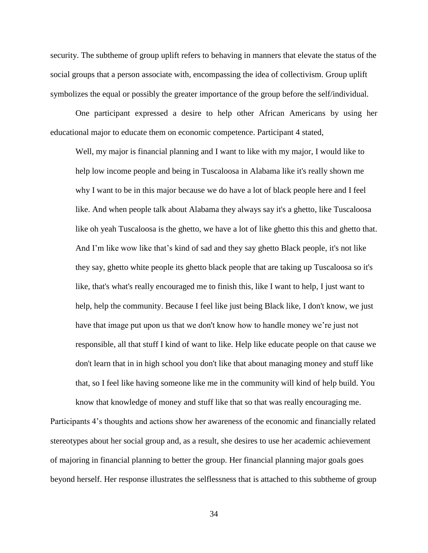security. The subtheme of group uplift refers to behaving in manners that elevate the status of the social groups that a person associate with, encompassing the idea of collectivism. Group uplift symbolizes the equal or possibly the greater importance of the group before the self/individual.

One participant expressed a desire to help other African Americans by using her educational major to educate them on economic competence. Participant 4 stated,

Well, my major is financial planning and I want to like with my major, I would like to help low income people and being in Tuscaloosa in Alabama like it's really shown me why I want to be in this major because we do have a lot of black people here and I feel like. And when people talk about Alabama they always say it's a ghetto, like Tuscaloosa like oh yeah Tuscaloosa is the ghetto, we have a lot of like ghetto this this and ghetto that. And I'm like wow like that's kind of sad and they say ghetto Black people, it's not like they say, ghetto white people its ghetto black people that are taking up Tuscaloosa so it's like, that's what's really encouraged me to finish this, like I want to help, I just want to help, help the community. Because I feel like just being Black like, I don't know, we just have that image put upon us that we don't know how to handle money we're just not responsible, all that stuff I kind of want to like. Help like educate people on that cause we don't learn that in in high school you don't like that about managing money and stuff like that, so I feel like having someone like me in the community will kind of help build. You

know that knowledge of money and stuff like that so that was really encouraging me. Participants 4's thoughts and actions show her awareness of the economic and financially related stereotypes about her social group and, as a result, she desires to use her academic achievement of majoring in financial planning to better the group. Her financial planning major goals goes beyond herself. Her response illustrates the selflessness that is attached to this subtheme of group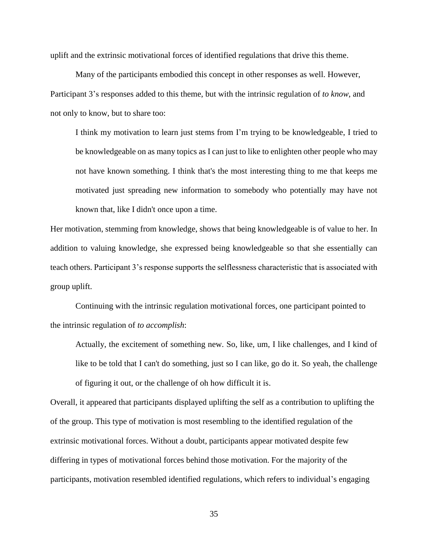uplift and the extrinsic motivational forces of identified regulations that drive this theme.

Many of the participants embodied this concept in other responses as well. However, Participant 3's responses added to this theme, but with the intrinsic regulation of *to know*, and not only to know, but to share too:

I think my motivation to learn just stems from I'm trying to be knowledgeable, I tried to be knowledgeable on as many topics as I can just to like to enlighten other people who may not have known something. I think that's the most interesting thing to me that keeps me motivated just spreading new information to somebody who potentially may have not known that, like I didn't once upon a time.

Her motivation, stemming from knowledge, shows that being knowledgeable is of value to her. In addition to valuing knowledge, she expressed being knowledgeable so that she essentially can teach others. Participant 3's response supports the selflessness characteristic that is associated with group uplift.

Continuing with the intrinsic regulation motivational forces, one participant pointed to the intrinsic regulation of *to accomplish*:

Actually, the excitement of something new. So, like, um, I like challenges, and I kind of like to be told that I can't do something, just so I can like, go do it. So yeah, the challenge of figuring it out, or the challenge of oh how difficult it is.

Overall, it appeared that participants displayed uplifting the self as a contribution to uplifting the of the group. This type of motivation is most resembling to the identified regulation of the extrinsic motivational forces. Without a doubt, participants appear motivated despite few differing in types of motivational forces behind those motivation. For the majority of the participants, motivation resembled identified regulations, which refers to individual's engaging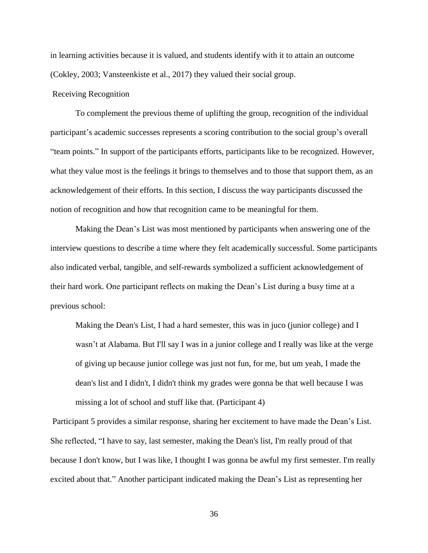in learning activities because it is valued, and students identify with it to attain an outcome (Cokley, 2003; Vansteenkiste et al., 2017) they valued their social group.

## Receiving Recognition

To complement the previous theme of uplifting the group, recognition of the individual participant's academic successes represents a scoring contribution to the social group's overall "team points." In support of the participants efforts, participants like to be recognized. However, what they value most is the feelings it brings to themselves and to those that support them, as an acknowledgement of their efforts. In this section, I discuss the way participants discussed the notion of recognition and how that recognition came to be meaningful for them.

Making the Dean's List was most mentioned by participants when answering one of the interview questions to describe a time where they felt academically successful. Some participants also indicated verbal, tangible, and self-rewards symbolized a sufficient acknowledgement of their hard work. One participant reflects on making the Dean's List during a busy time at a previous school:

Making the Dean's List, I had a hard semester, this was in juco (junior college) and I wasn't at Alabama. But I'll say I was in a junior college and I really was like at the verge of giving up because junior college was just not fun, for me, but um yeah, I made the dean's list and I didn't, I didn't think my grades were gonna be that well because I was missing a lot of school and stuff like that. (Participant 4)

Participant 5 provides a similar response, sharing her excitement to have made the Dean's List. She reflected, "I have to say, last semester, making the Dean's list, I'm really proud of that because I don't know, but I was like, I thought I was gonna be awful my first semester. I'm really excited about that." Another participant indicated making the Dean's List as representing her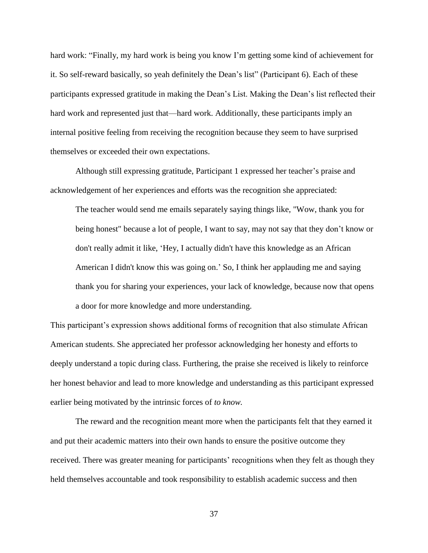hard work: "Finally, my hard work is being you know I'm getting some kind of achievement for it. So self-reward basically, so yeah definitely the Dean's list" (Participant 6). Each of these participants expressed gratitude in making the Dean's List. Making the Dean's list reflected their hard work and represented just that—hard work. Additionally, these participants imply an internal positive feeling from receiving the recognition because they seem to have surprised themselves or exceeded their own expectations.

Although still expressing gratitude, Participant 1 expressed her teacher's praise and acknowledgement of her experiences and efforts was the recognition she appreciated:

The teacher would send me emails separately saying things like, "Wow, thank you for being honest" because a lot of people, I want to say, may not say that they don't know or don't really admit it like, 'Hey, I actually didn't have this knowledge as an African American I didn't know this was going on.' So, I think her applauding me and saying thank you for sharing your experiences, your lack of knowledge, because now that opens a door for more knowledge and more understanding.

This participant's expression shows additional forms of recognition that also stimulate African American students. She appreciated her professor acknowledging her honesty and efforts to deeply understand a topic during class. Furthering, the praise she received is likely to reinforce her honest behavior and lead to more knowledge and understanding as this participant expressed earlier being motivated by the intrinsic forces of *to know.* 

The reward and the recognition meant more when the participants felt that they earned it and put their academic matters into their own hands to ensure the positive outcome they received. There was greater meaning for participants' recognitions when they felt as though they held themselves accountable and took responsibility to establish academic success and then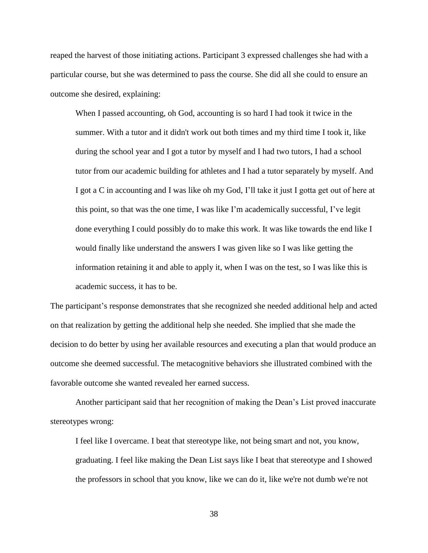reaped the harvest of those initiating actions. Participant 3 expressed challenges she had with a particular course, but she was determined to pass the course. She did all she could to ensure an outcome she desired, explaining:

When I passed accounting, oh God, accounting is so hard I had took it twice in the summer. With a tutor and it didn't work out both times and my third time I took it, like during the school year and I got a tutor by myself and I had two tutors, I had a school tutor from our academic building for athletes and I had a tutor separately by myself. And I got a C in accounting and I was like oh my God, I'll take it just I gotta get out of here at this point, so that was the one time, I was like I'm academically successful, I've legit done everything I could possibly do to make this work. It was like towards the end like I would finally like understand the answers I was given like so I was like getting the information retaining it and able to apply it, when I was on the test, so I was like this is academic success, it has to be.

The participant's response demonstrates that she recognized she needed additional help and acted on that realization by getting the additional help she needed. She implied that she made the decision to do better by using her available resources and executing a plan that would produce an outcome she deemed successful. The metacognitive behaviors she illustrated combined with the favorable outcome she wanted revealed her earned success.

Another participant said that her recognition of making the Dean's List proved inaccurate stereotypes wrong:

I feel like I overcame. I beat that stereotype like, not being smart and not, you know, graduating. I feel like making the Dean List says like I beat that stereotype and I showed the professors in school that you know, like we can do it, like we're not dumb we're not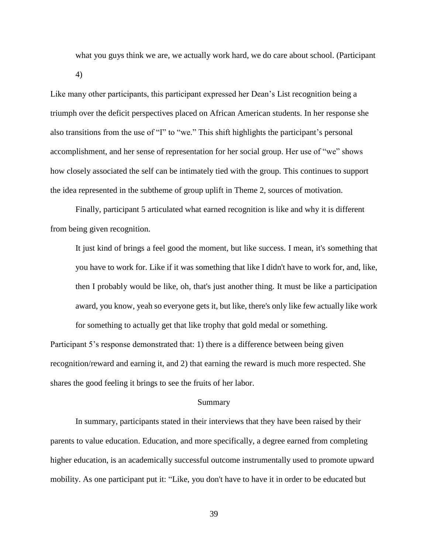what you guys think we are, we actually work hard, we do care about school. (Participant 4)

Like many other participants, this participant expressed her Dean's List recognition being a triumph over the deficit perspectives placed on African American students. In her response she also transitions from the use of "I" to "we." This shift highlights the participant's personal accomplishment, and her sense of representation for her social group. Her use of "we" shows how closely associated the self can be intimately tied with the group. This continues to support the idea represented in the subtheme of group uplift in Theme 2, sources of motivation.

Finally, participant 5 articulated what earned recognition is like and why it is different from being given recognition.

It just kind of brings a feel good the moment, but like success. I mean, it's something that you have to work for. Like if it was something that like I didn't have to work for, and, like, then I probably would be like, oh, that's just another thing. It must be like a participation award, you know, yeah so everyone gets it, but like, there's only like few actually like work for something to actually get that like trophy that gold medal or something.

Participant 5's response demonstrated that: 1) there is a difference between being given recognition/reward and earning it, and 2) that earning the reward is much more respected. She shares the good feeling it brings to see the fruits of her labor.

#### Summary

In summary, participants stated in their interviews that they have been raised by their parents to value education. Education, and more specifically, a degree earned from completing higher education, is an academically successful outcome instrumentally used to promote upward mobility. As one participant put it: "Like, you don't have to have it in order to be educated but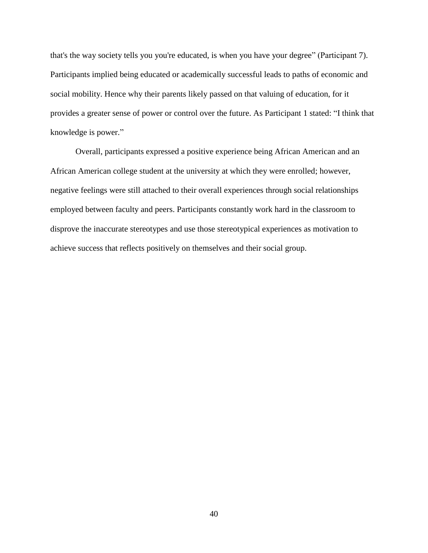that's the way society tells you you're educated, is when you have your degree" (Participant 7). Participants implied being educated or academically successful leads to paths of economic and social mobility. Hence why their parents likely passed on that valuing of education, for it provides a greater sense of power or control over the future. As Participant 1 stated: "I think that knowledge is power."

Overall, participants expressed a positive experience being African American and an African American college student at the university at which they were enrolled; however, negative feelings were still attached to their overall experiences through social relationships employed between faculty and peers. Participants constantly work hard in the classroom to disprove the inaccurate stereotypes and use those stereotypical experiences as motivation to achieve success that reflects positively on themselves and their social group.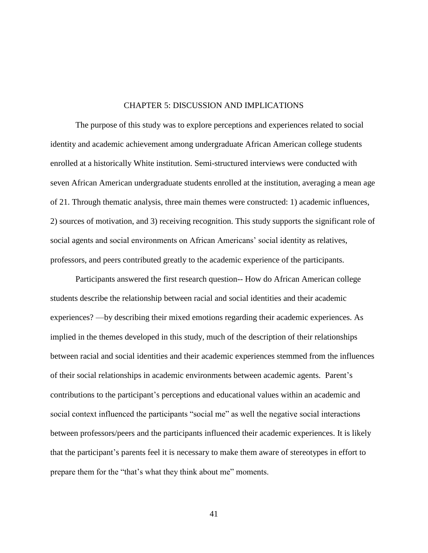### CHAPTER 5: DISCUSSION AND IMPLICATIONS

The purpose of this study was to explore perceptions and experiences related to social identity and academic achievement among undergraduate African American college students enrolled at a historically White institution. Semi-structured interviews were conducted with seven African American undergraduate students enrolled at the institution, averaging a mean age of 21. Through thematic analysis, three main themes were constructed: 1) academic influences, 2) sources of motivation, and 3) receiving recognition. This study supports the significant role of social agents and social environments on African Americans' social identity as relatives, professors, and peers contributed greatly to the academic experience of the participants.

Participants answered the first research question-- How do African American college students describe the relationship between racial and social identities and their academic experiences? —by describing their mixed emotions regarding their academic experiences. As implied in the themes developed in this study, much of the description of their relationships between racial and social identities and their academic experiences stemmed from the influences of their social relationships in academic environments between academic agents. Parent's contributions to the participant's perceptions and educational values within an academic and social context influenced the participants "social me" as well the negative social interactions between professors/peers and the participants influenced their academic experiences. It is likely that the participant's parents feel it is necessary to make them aware of stereotypes in effort to prepare them for the "that's what they think about me" moments.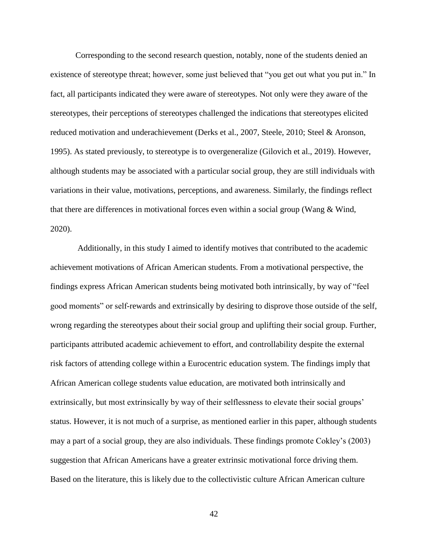Corresponding to the second research question, notably, none of the students denied an existence of stereotype threat; however, some just believed that "you get out what you put in." In fact, all participants indicated they were aware of stereotypes. Not only were they aware of the stereotypes, their perceptions of stereotypes challenged the indications that stereotypes elicited reduced motivation and underachievement (Derks et al., 2007, Steele, 2010; Steel & Aronson, 1995). As stated previously, to stereotype is to overgeneralize (Gilovich et al., 2019). However, although students may be associated with a particular social group, they are still individuals with variations in their value, motivations, perceptions, and awareness. Similarly, the findings reflect that there are differences in motivational forces even within a social group (Wang & Wind, 2020).

Additionally, in this study I aimed to identify motives that contributed to the academic achievement motivations of African American students. From a motivational perspective, the findings express African American students being motivated both intrinsically, by way of "feel good moments" or self-rewards and extrinsically by desiring to disprove those outside of the self, wrong regarding the stereotypes about their social group and uplifting their social group. Further, participants attributed academic achievement to effort, and controllability despite the external risk factors of attending college within a Eurocentric education system. The findings imply that African American college students value education, are motivated both intrinsically and extrinsically, but most extrinsically by way of their selflessness to elevate their social groups' status. However, it is not much of a surprise, as mentioned earlier in this paper, although students may a part of a social group, they are also individuals. These findings promote Cokley's (2003) suggestion that African Americans have a greater extrinsic motivational force driving them. Based on the literature, this is likely due to the collectivistic culture African American culture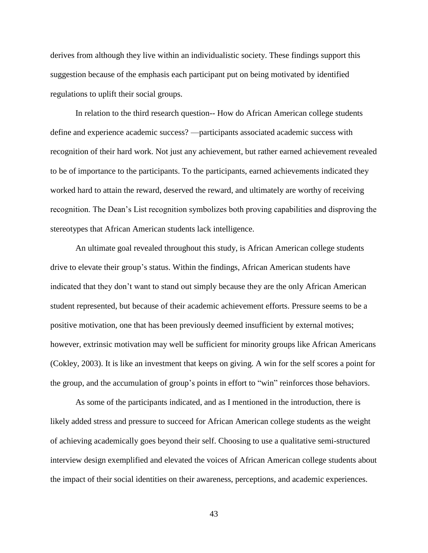derives from although they live within an individualistic society. These findings support this suggestion because of the emphasis each participant put on being motivated by identified regulations to uplift their social groups.

In relation to the third research question-- How do African American college students define and experience academic success? —participants associated academic success with recognition of their hard work. Not just any achievement, but rather earned achievement revealed to be of importance to the participants. To the participants, earned achievements indicated they worked hard to attain the reward, deserved the reward, and ultimately are worthy of receiving recognition. The Dean's List recognition symbolizes both proving capabilities and disproving the stereotypes that African American students lack intelligence.

An ultimate goal revealed throughout this study, is African American college students drive to elevate their group's status. Within the findings, African American students have indicated that they don't want to stand out simply because they are the only African American student represented, but because of their academic achievement efforts. Pressure seems to be a positive motivation, one that has been previously deemed insufficient by external motives; however, extrinsic motivation may well be sufficient for minority groups like African Americans (Cokley, 2003). It is like an investment that keeps on giving. A win for the self scores a point for the group, and the accumulation of group's points in effort to "win" reinforces those behaviors.

As some of the participants indicated, and as I mentioned in the introduction, there is likely added stress and pressure to succeed for African American college students as the weight of achieving academically goes beyond their self. Choosing to use a qualitative semi-structured interview design exemplified and elevated the voices of African American college students about the impact of their social identities on their awareness, perceptions, and academic experiences.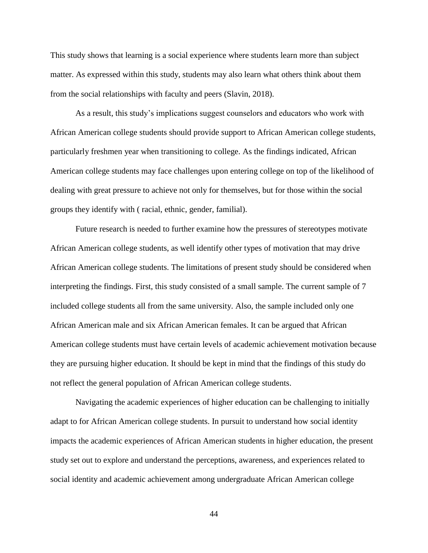This study shows that learning is a social experience where students learn more than subject matter. As expressed within this study, students may also learn what others think about them from the social relationships with faculty and peers (Slavin, 2018).

As a result, this study's implications suggest counselors and educators who work with African American college students should provide support to African American college students, particularly freshmen year when transitioning to college. As the findings indicated, African American college students may face challenges upon entering college on top of the likelihood of dealing with great pressure to achieve not only for themselves, but for those within the social groups they identify with ( racial, ethnic, gender, familial).

Future research is needed to further examine how the pressures of stereotypes motivate African American college students, as well identify other types of motivation that may drive African American college students. The limitations of present study should be considered when interpreting the findings. First, this study consisted of a small sample. The current sample of 7 included college students all from the same university. Also, the sample included only one African American male and six African American females. It can be argued that African American college students must have certain levels of academic achievement motivation because they are pursuing higher education. It should be kept in mind that the findings of this study do not reflect the general population of African American college students.

Navigating the academic experiences of higher education can be challenging to initially adapt to for African American college students. In pursuit to understand how social identity impacts the academic experiences of African American students in higher education, the present study set out to explore and understand the perceptions, awareness, and experiences related to social identity and academic achievement among undergraduate African American college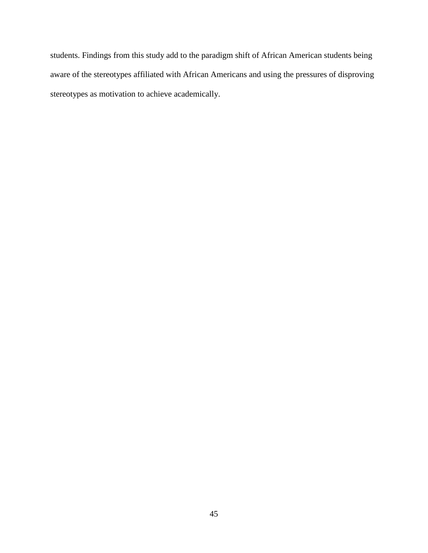students. Findings from this study add to the paradigm shift of African American students being aware of the stereotypes affiliated with African Americans and using the pressures of disproving stereotypes as motivation to achieve academically.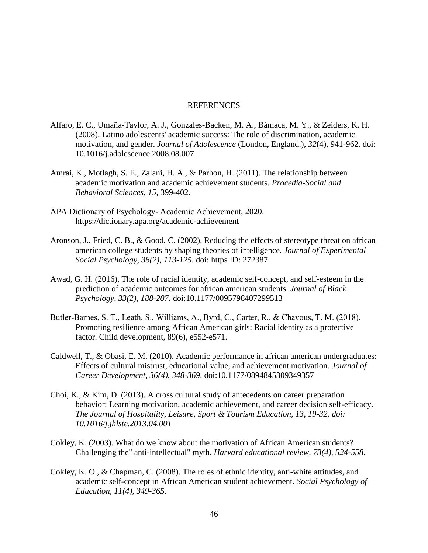#### REFERENCES

- Alfaro, E. C., Umaña-Taylor, A. J., Gonzales-Backen, M. A., Bámaca, M. Y., & Zeiders, K. H. (2008). Latino adolescents' academic success: The role of discrimination, academic motivation, and gender. *Journal of Adolescence* (London, England.), *32*(4), 941-962. doi: 10.1016/j.adolescence.2008.08.007
- Amrai, K., Motlagh, S. E., Zalani, H. A., & Parhon, H. (2011). The relationship between academic motivation and academic achievement students. *Procedia-Social and Behavioral Sciences*, *15*, 399-402.
- APA Dictionary of Psychology- Academic Achievement, 2020. https://dictionary.apa.org/academic-achievement
- Aronson, J., Fried, C. B., & Good, C. (2002). Reducing the effects of stereotype threat on african american college students by shaping theories of intelligence*. Journal of Experimental Social Psychology, 38(2), 113-125*. doi: https ID: 272387
- Awad, G. H. (2016). The role of racial identity, academic self-concept, and self-esteem in the prediction of academic outcomes for african american students*. Journal of Black Psychology, 33(2), 188-207*. doi:10.1177/0095798407299513
- Butler‐Barnes, S. T., Leath, S., Williams, A., Byrd, C., Carter, R., & Chavous, T. M. (2018). Promoting resilience among African American girls: Racial identity as a protective factor. Child development, 89(6), e552-e571.
- Caldwell, T., & Obasi, E. M. (2010). Academic performance in african american undergraduates: Effects of cultural mistrust, educational value, and achievement motivation*. Journal of Career Development, 36(4), 348-369*. doi:10.1177/0894845309349357
- Choi, K., & Kim, D. (2013). A cross cultural study of antecedents on career preparation behavior: Learning motivation, academic achievement, and career decision self-efficacy. *The Journal of Hospitality, Leisure, Sport & Tourism Education, 13, 19-32. doi: 10.1016/j.jhlste.2013.04.001*
- Cokley, K. (2003). What do we know about the motivation of African American students? Challenging the" anti-intellectual" myth. *Harvard educational review, 73(4), 524-558.*
- Cokley, K. O., & Chapman, C. (2008). The roles of ethnic identity, anti-white attitudes, and academic self-concept in African American student achievement. *Social Psychology of Education, 11(4), 349-365.*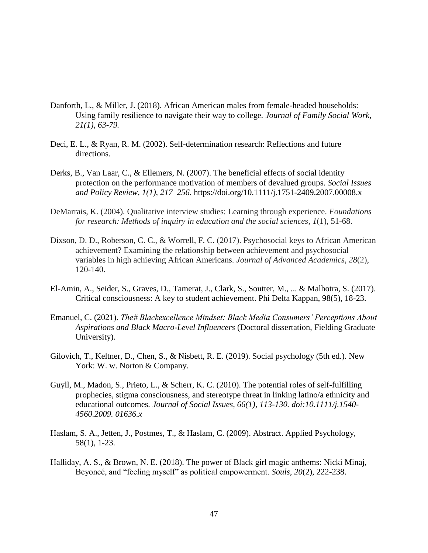- Danforth, L., & Miller, J. (2018). African American males from female-headed households: Using family resilience to navigate their way to college*. Journal of Family Social Work, 21(1), 63-79.*
- Deci, E. L., & Ryan, R. M. (2002). Self-determination research: Reflections and future directions*.*
- Derks, B., Van Laar, C., & Ellemers, N. (2007). The beneficial effects of social identity protection on the performance motivation of members of devalued groups. *Social Issues and Policy Review, 1(1), 217–256*. https://doi.org/10.1111/j.1751-2409.2007.00008.x
- DeMarrais, K. (2004). Qualitative interview studies: Learning through experience. *Foundations for research: Methods of inquiry in education and the social sciences*, *1*(1), 51-68.
- Dixson, D. D., Roberson, C. C., & Worrell, F. C. (2017). Psychosocial keys to African American achievement? Examining the relationship between achievement and psychosocial variables in high achieving African Americans. *Journal of Advanced Academics*, *28*(2), 120-140.
- El-Amin, A., Seider, S., Graves, D., Tamerat, J., Clark, S., Soutter, M., ... & Malhotra, S. (2017). Critical consciousness: A key to student achievement. Phi Delta Kappan, 98(5), 18-23.
- Emanuel, C. (2021). *The# Blackexcellence Mindset: Black Media Consumers' Perceptions About Aspirations and Black Macro-Level Influencers* (Doctoral dissertation, Fielding Graduate University).
- Gilovich, T., Keltner, D., Chen, S., & Nisbett, R. E. (2019). Social psychology (5th ed.). New York: W. w. Norton & Company.
- Guyll, M., Madon, S., Prieto, L., & Scherr, K. C. (2010). The potential roles of self-fulfilling prophecies, stigma consciousness, and stereotype threat in linking latino/a ethnicity and educational outcomes*. Journal of Social Issues, 66(1), 113-130. doi:10.1111/j.1540- 4560.2009. 01636.x*
- Haslam, S. A., Jetten, J., Postmes, T., & Haslam, C. (2009). Abstract. Applied Psychology, 58(1), 1-23.
- Halliday, A. S., & Brown, N. E. (2018). The power of Black girl magic anthems: Nicki Minaj, Beyoncé, and "feeling myself" as political empowerment. *Souls*, *20*(2), 222-238.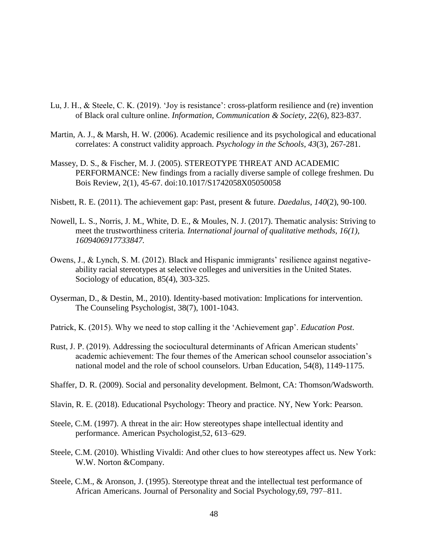- Lu, J. H., & Steele, C. K. (2019). 'Joy is resistance': cross-platform resilience and (re) invention of Black oral culture online. *Information, Communication & Society*, *22*(6), 823-837.
- Martin, A. J., & Marsh, H. W. (2006). Academic resilience and its psychological and educational correlates: A construct validity approach. *Psychology in the Schools*, *43*(3), 267-281.
- Massey, D. S., & Fischer, M. J. (2005). STEREOTYPE THREAT AND ACADEMIC PERFORMANCE: New findings from a racially diverse sample of college freshmen. Du Bois Review, 2(1), 45-67. doi:10.1017/S1742058X05050058
- Nisbett, R. E. (2011). The achievement gap: Past, present & future. *Daedalus*, *140*(2), 90-100.
- Nowell, L. S., Norris, J. M., White, D. E., & Moules, N. J. (2017). Thematic analysis: Striving to meet the trustworthiness criteria*. International journal of qualitative methods, 16(1), 1609406917733847.*
- Owens, J., & Lynch, S. M. (2012). Black and Hispanic immigrants' resilience against negativeability racial stereotypes at selective colleges and universities in the United States. Sociology of education, 85(4), 303-325.
- Oyserman, D., & Destin, M., 2010). Identity-based motivation: Implications for intervention. The Counseling Psychologist, 38(7), 1001-1043.
- Patrick, K. (2015). Why we need to stop calling it the 'Achievement gap'. *Education Post*.
- Rust, J. P. (2019). Addressing the sociocultural determinants of African American students' academic achievement: The four themes of the American school counselor association's national model and the role of school counselors. Urban Education, 54(8), 1149-1175.
- Shaffer, D. R. (2009). Social and personality development. Belmont, CA: Thomson/Wadsworth.
- Slavin, R. E. (2018). Educational Psychology: Theory and practice. NY, New York: Pearson.
- Steele, C.M. (1997). A threat in the air: How stereotypes shape intellectual identity and performance. American Psychologist,52, 613–629.
- Steele, C.M. (2010). Whistling Vivaldi: And other clues to how stereotypes affect us. New York: W.W. Norton &Company.
- Steele, C.M., & Aronson, J. (1995). Stereotype threat and the intellectual test performance of African Americans. Journal of Personality and Social Psychology,69, 797–811.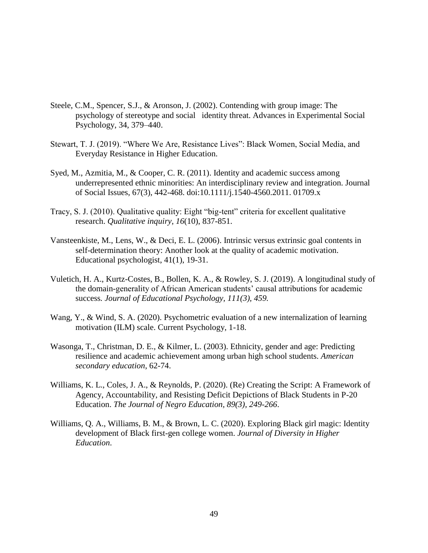- Steele, C.M., Spencer, S.J., & Aronson, J. (2002). Contending with group image: The psychology of stereotype and social identity threat. Advances in Experimental Social Psychology, 34, 379–440.
- Stewart, T. J. (2019). "Where We Are, Resistance Lives": Black Women, Social Media, and Everyday Resistance in Higher Education.
- Syed, M., Azmitia, M., & Cooper, C. R. (2011). Identity and academic success among underrepresented ethnic minorities: An interdisciplinary review and integration. Journal of Social Issues, 67(3), 442-468. doi:10.1111/j.1540-4560.2011. 01709.x
- Tracy, S. J. (2010). Qualitative quality: Eight "big-tent" criteria for excellent qualitative research. *Qualitative inquiry*, *16*(10), 837-851.
- Vansteenkiste, M., Lens, W., & Deci, E. L. (2006). Intrinsic versus extrinsic goal contents in self-determination theory: Another look at the quality of academic motivation. Educational psychologist, 41(1), 19-31.
- Vuletich, H. A., Kurtz-Costes, B., Bollen, K. A., & Rowley, S. J. (2019). A longitudinal study of the domain-generality of African American students' causal attributions for academic success*. Journal of Educational Psychology, 111(3), 459.*
- Wang, Y., & Wind, S. A. (2020). Psychometric evaluation of a new internalization of learning motivation (ILM) scale. Current Psychology, 1-18.
- Wasonga, T., Christman, D. E., & Kilmer, L. (2003). Ethnicity, gender and age: Predicting resilience and academic achievement among urban high school students. *American secondary education*, 62-74.
- Williams, K. L., Coles, J. A., & Reynolds, P. (2020). (Re) Creating the Script: A Framework of Agency, Accountability, and Resisting Deficit Depictions of Black Students in P-20 Education. *The Journal of Negro Education, 89(3), 249-266*.
- Williams, Q. A., Williams, B. M., & Brown, L. C. (2020). Exploring Black girl magic: Identity development of Black first-gen college women. *Journal of Diversity in Higher Education*.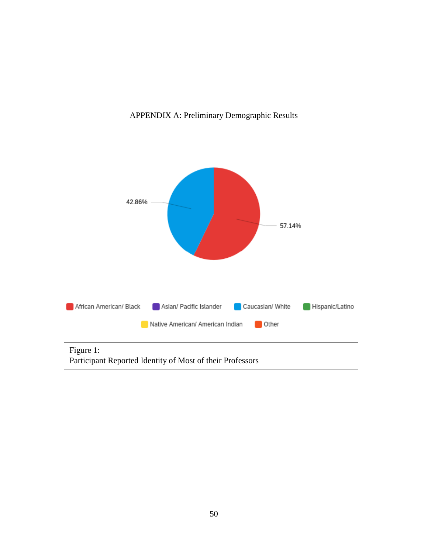

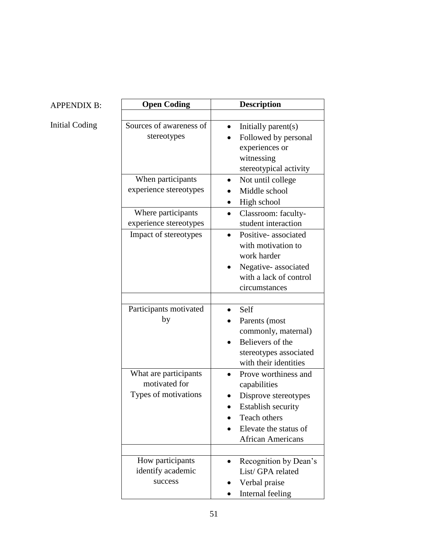# APPENDIX B:

Initial Coding

| <b>Open Coding</b>      | <b>Description</b>        |
|-------------------------|---------------------------|
|                         |                           |
| Sources of awareness of | Initially parent $(s)$    |
| stereotypes             | Followed by personal      |
|                         | experiences or            |
|                         | witnessing                |
|                         | stereotypical activity    |
| When participants       | Not until college         |
| experience stereotypes  | Middle school             |
|                         | High school               |
| Where participants      | Classroom: faculty-       |
| experience stereotypes  | student interaction       |
| Impact of stereotypes   | Positive-associated       |
|                         | with motivation to        |
|                         | work harder               |
|                         | Negative-associated       |
|                         | with a lack of control    |
|                         | circumstances             |
|                         |                           |
| Participants motivated  | Self                      |
| by                      | Parents (most             |
|                         | commonly, maternal)       |
|                         | Believers of the          |
|                         | stereotypes associated    |
|                         | with their identities     |
| What are participants   | Prove worthiness and      |
| motivated for           | capabilities              |
| Types of motivations    | Disprove stereotypes      |
|                         | <b>Establish security</b> |
|                         | Teach others              |
|                         | Elevate the status of     |
|                         | <b>African Americans</b>  |
|                         |                           |
| How participants        | Recognition by Dean's     |
| identify academic       | List/GPA related          |
| success                 | Verbal praise             |
|                         | Internal feeling          |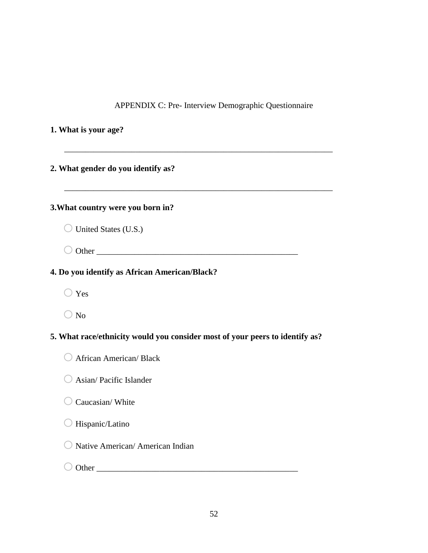# APPENDIX C: Pre- Interview Demographic Questionnaire

# **1. What is your age?**

## **2. What gender do you identify as?**

## **3.What country were you born in?**

| $\bigcirc$ United States (U.S.) |  |
|---------------------------------|--|

o Other \_\_\_\_\_\_\_\_\_\_\_\_\_\_\_\_\_\_\_\_\_\_\_\_\_\_\_\_\_\_\_\_\_\_\_\_\_\_\_\_\_\_\_\_\_\_\_\_

# **4. Do you identify as African American/Black?**

 $\bigcirc$  Yes

 $\bigcirc$  No

# **5. What race/ethnicity would you consider most of your peers to identify as?**

|  | $\bigcirc$ African American/Black |
|--|-----------------------------------|

|  | $\bigcirc$ Asian/ Pacific Islander |
|--|------------------------------------|

# $\bigcirc$  Caucasian/White

# o Hispanic/Latino

- $\bigcirc$  Native American/ American Indian
- o Other \_\_\_\_\_\_\_\_\_\_\_\_\_\_\_\_\_\_\_\_\_\_\_\_\_\_\_\_\_\_\_\_\_\_\_\_\_\_\_\_\_\_\_\_\_\_\_\_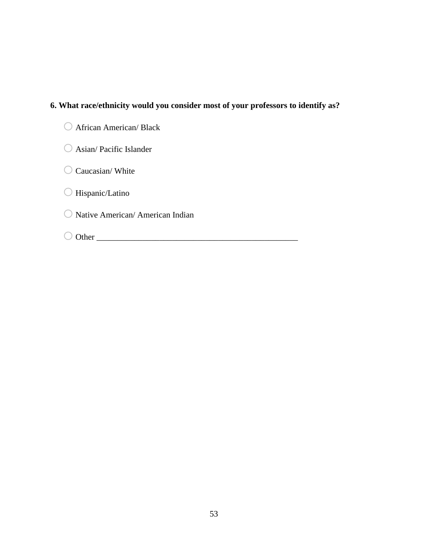# **6. What race/ethnicity would you consider most of your professors to identify as?**

|  | $\bigcirc$ African American/Black |  |
|--|-----------------------------------|--|

# O Asian/ Pacific Islander

# $\bigcirc$  Caucasian/White

# $\bigcirc$  Hispanic/Latino

# $\bigcirc$  Native American/ American Indian

o Other \_\_\_\_\_\_\_\_\_\_\_\_\_\_\_\_\_\_\_\_\_\_\_\_\_\_\_\_\_\_\_\_\_\_\_\_\_\_\_\_\_\_\_\_\_\_\_\_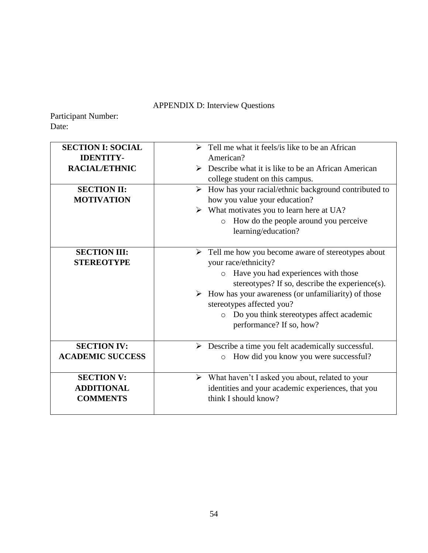# APPENDIX D: Interview Questions

Participant Number: Date:

| <b>SECTION I: SOCIAL</b><br><b>IDENTITY-</b><br><b>RACIAL/ETHNIC</b><br><b>SECTION II:</b><br><b>MOTIVATION</b> | $\triangleright$ Tell me what it feels/is like to be an African<br>American?<br>$\triangleright$ Describe what it is like to be an African American<br>college student on this campus.<br>$\triangleright$ How has your racial/ethnic background contributed to<br>how you value your education?<br>$\triangleright$ What motivates you to learn here at UA?<br>How do the people around you perceive<br>$\circ$<br>learning/education? |
|-----------------------------------------------------------------------------------------------------------------|-----------------------------------------------------------------------------------------------------------------------------------------------------------------------------------------------------------------------------------------------------------------------------------------------------------------------------------------------------------------------------------------------------------------------------------------|
| <b>SECTION III:</b><br><b>STEREOTYPE</b>                                                                        | $\triangleright$ Tell me how you become aware of stereotypes about<br>your race/ethnicity?<br>Have you had experiences with those<br>$\circ$<br>stereotypes? If so, describe the experience(s).<br>$\triangleright$ How has your awareness (or unfamiliarity) of those<br>stereotypes affected you?<br>Do you think stereotypes affect academic<br>performance? If so, how?                                                             |
| <b>SECTION IV:</b><br><b>ACADEMIC SUCCESS</b>                                                                   | $\triangleright$ Describe a time you felt academically successful.<br>How did you know you were successful?<br>$\circ$                                                                                                                                                                                                                                                                                                                  |
| <b>SECTION V:</b><br><b>ADDITIONAL</b><br><b>COMMENTS</b>                                                       | $\triangleright$ What haven't I asked you about, related to your<br>identities and your academic experiences, that you<br>think I should know?                                                                                                                                                                                                                                                                                          |